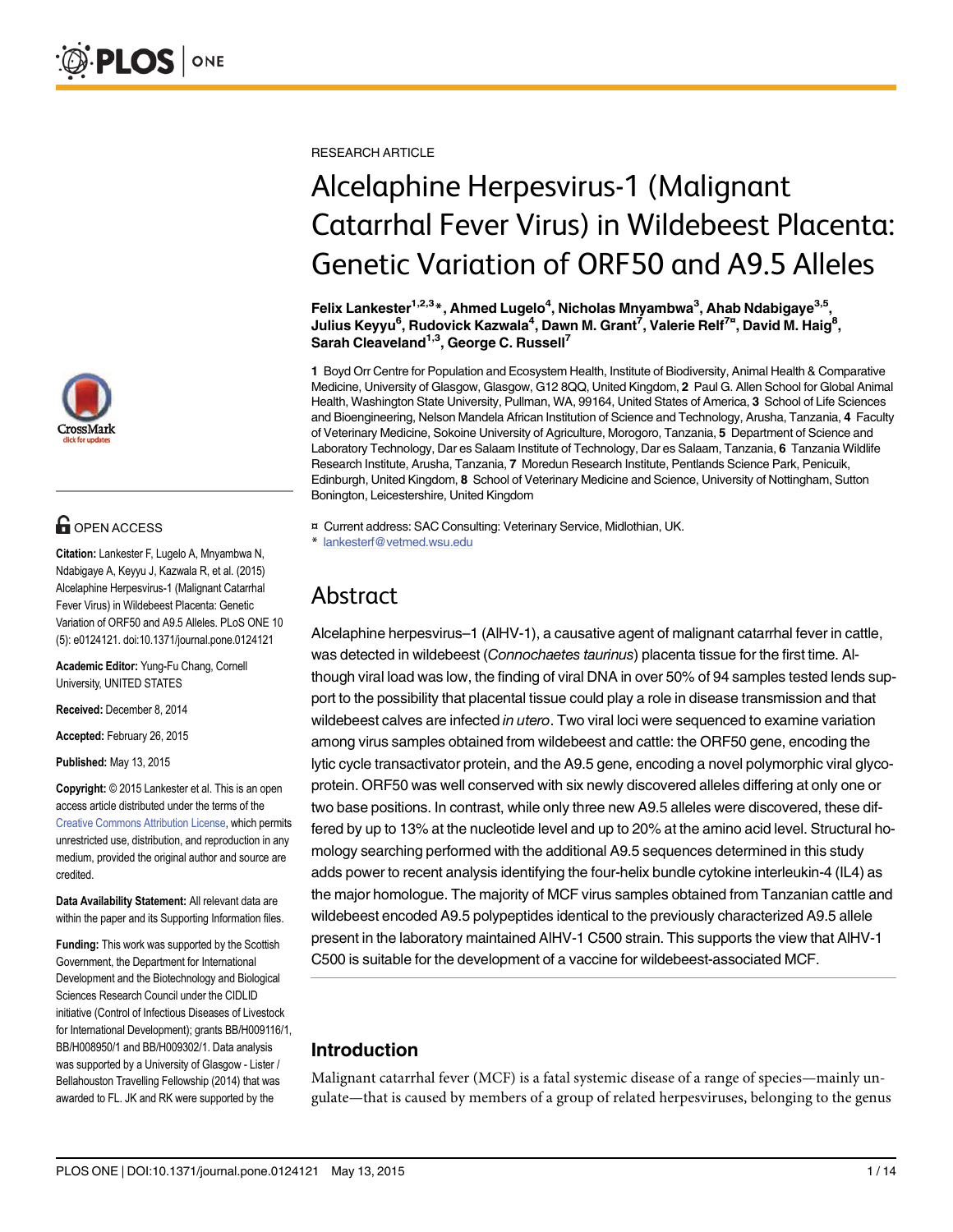

# **G** OPEN ACCESS

Citation: Lankester F, Lugelo A, Mnyambwa N, Ndabigaye A, Keyyu J, Kazwala R, et al. (2015) Alcelaphine Herpesvirus-1 (Malignant Catarrhal Fever Virus) in Wildebeest Placenta: Genetic Variation of ORF50 and A9.5 Alleles. PLoS ONE 10 (5): e0124121. doi:10.1371/journal.pone.0124121

Academic Editor: Yung-Fu Chang, Cornell University, UNITED STATES

Received: December 8, 2014

Accepted: February 26, 2015

Published: May 13, 2015

Copyright: © 2015 Lankester et al. This is an open access article distributed under the terms of the [Creative Commons Attribution License,](http://creativecommons.org/licenses/by/4.0/) which permits unrestricted use, distribution, and reproduction in any medium, provided the original author and source are credited.

Data Availability Statement: All relevant data are within the paper and its Supporting Information files.

Funding: This work was supported by the Scottish Government, the Department for International Development and the Biotechnology and Biological Sciences Research Council under the CIDLID initiative (Control of Infectious Diseases of Livestock for International Development); grants BB/H009116/1, BB/H008950/1 and BB/H009302/1. Data analysis was supported by a University of Glasgow - Lister / Bellahouston Travelling Fellowship (2014) that was awarded to FL. JK and RK were supported by the

RESEARCH ARTICLE

# Alcelaphine Herpesvirus-1 (Malignant Catarrhal Fever Virus) in Wildebeest Placenta: Genetic Variation of ORF50 and A9.5 Alleles

Felix Lankester<sup>1,2,3</sup>\*, Ahmed Lugelo<sup>4</sup>, Nicholas Mnyambwa<sup>3</sup>, Ahab Ndabigaye<sup>3,5</sup>, Julius Keyyu<sup>6</sup>, Rudovick Kazwala<sup>4</sup>, Dawn M. Grant<sup>7</sup>, Valerie Relf<sup>7¤</sup>, David M. Haig<sup>8</sup>, Sarah Cleaveland<sup>1,3</sup>, George C. Russell<sup>7</sup>

1 Boyd Orr Centre for Population and Ecosystem Health, Institute of Biodiversity, Animal Health & Comparative Medicine, University of Glasgow, Glasgow, G12 8QQ, United Kingdom, 2 Paul G. Allen School for Global Animal Health, Washington State University, Pullman, WA, 99164, United States of America, 3 School of Life Sciences and Bioengineering, Nelson Mandela African Institution of Science and Technology, Arusha, Tanzania, 4 Faculty of Veterinary Medicine, Sokoine University of Agriculture, Morogoro, Tanzania, 5 Department of Science and Laboratory Technology, Dar es Salaam Institute of Technology, Dar es Salaam, Tanzania, 6 Tanzania Wildlife Research Institute, Arusha, Tanzania, 7 Moredun Research Institute, Pentlands Science Park, Penicuik, Edinburgh, United Kingdom, 8 School of Veterinary Medicine and Science, University of Nottingham, Sutton Bonington, Leicestershire, United Kingdom

¤ Current address: SAC Consulting: Veterinary Service, Midlothian, UK. \* lankesterf@vetmed.wsu.edu

# Abstract

Alcelaphine herpesvirus–1 (AlHV-1), a causative agent of malignant catarrhal fever in cattle, was detected in wildebeest (Connochaetes taurinus) placenta tissue for the first time. Although viral load was low, the finding of viral DNA in over 50% of 94 samples tested lends support to the possibility that placental tissue could play a role in disease transmission and that wildebeest calves are infected in utero. Two viral loci were sequenced to examine variation among virus samples obtained from wildebeest and cattle: the ORF50 gene, encoding the lytic cycle transactivator protein, and the A9.5 gene, encoding a novel polymorphic viral glycoprotein. ORF50 was well conserved with six newly discovered alleles differing at only one or two base positions. In contrast, while only three new A9.5 alleles were discovered, these differed by up to 13% at the nucleotide level and up to 20% at the amino acid level. Structural homology searching performed with the additional A9.5 sequences determined in this study adds power to recent analysis identifying the four-helix bundle cytokine interleukin-4 (IL4) as the major homologue. The majority of MCF virus samples obtained from Tanzanian cattle and wildebeest encoded A9.5 polypeptides identical to the previously characterized A9.5 allele present in the laboratory maintained AlHV-1 C500 strain. This supports the view that AlHV-1 C500 is suitable for the development of a vaccine for wildebeest-associated MCF.

## Introduction

Malignant catarrhal fever (MCF) is a fatal systemic disease of a range of species—mainly ungulate—that is caused by members of a group of related herpesviruses, belonging to the genus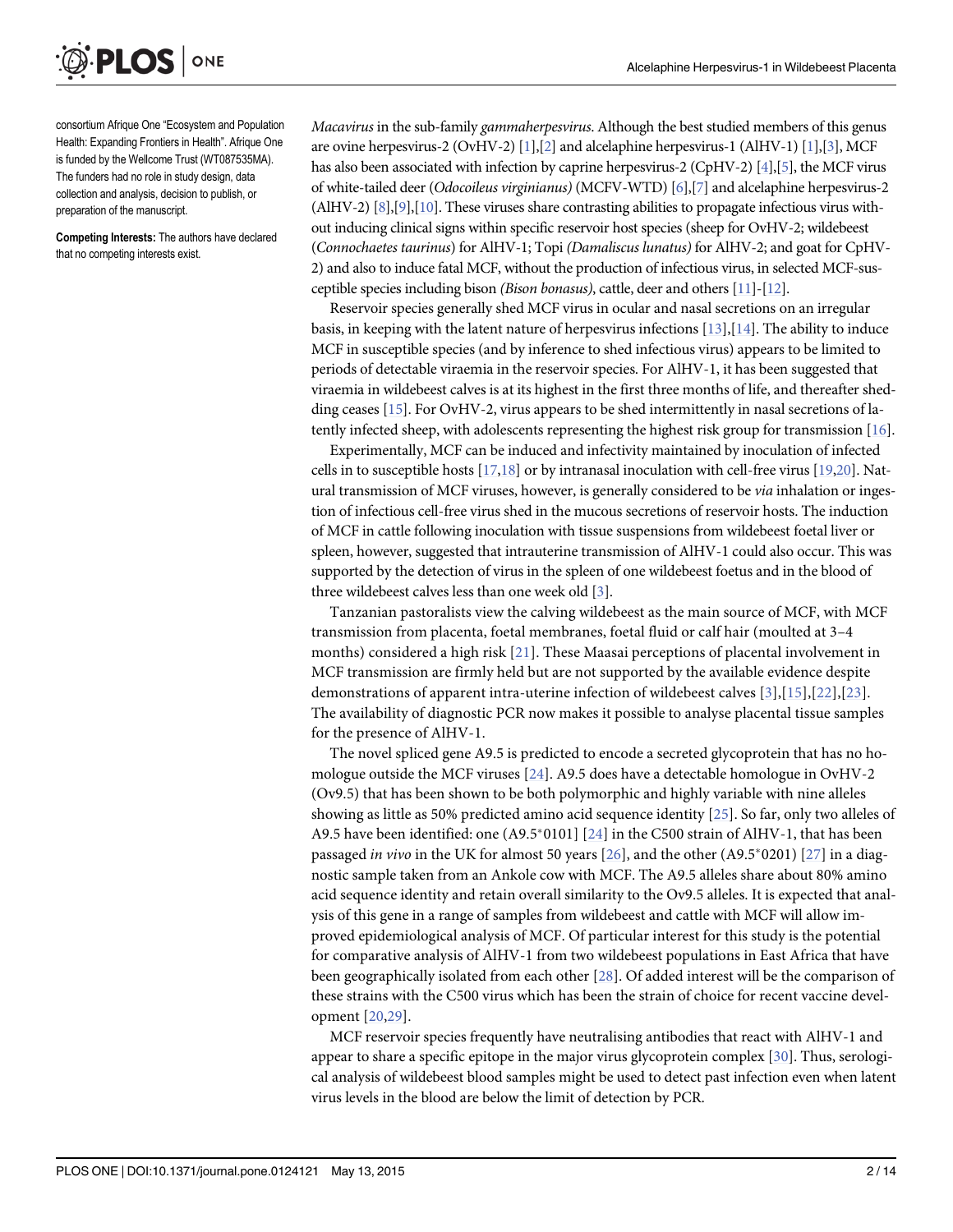<span id="page-1-0"></span>

consortium Afrique One "Ecosystem and Population Health: Expanding Frontiers in Health". Afrique One is funded by the Wellcome Trust (WT087535MA). The funders had no role in study design, data collection and analysis, decision to publish, or preparation of the manuscript.

Competing Interests: The authors have declared that no competing interests exist.

Macavirus in the sub-family gammaherpesvirus. Although the best studied members of this genus are ovine herpesvirus-2 (OvHV-2) [[1](#page-11-0)],[[2](#page-11-0)] and alcelaphine herpesvirus-1 (AlHV-1) [\[1\]](#page-11-0),[\[3](#page-12-0)], MCF has also been associated with infection by caprine herpesvirus-2 (CpHV-2)  $[4]$ ,  $[5]$ , the MCF virus of white-tailed deer (Odocoileus virginianus) (MCFV-WTD) [\[6](#page-12-0)],[[7](#page-12-0)] and alcelaphine herpesvirus-2 (AlHV-2) [\[8\]](#page-12-0),[\[9\]](#page-12-0),[\[10\]](#page-12-0). These viruses share contrasting abilities to propagate infectious virus without inducing clinical signs within specific reservoir host species (sheep for OvHV-2; wildebeest (Connochaetes taurinus) for AlHV-1; Topi (Damaliscus lunatus) for AlHV-2; and goat for CpHV-2) and also to induce fatal MCF, without the production of infectious virus, in selected MCF-susceptible species including bison (Bison bonasus), cattle, deer and others [[11\]](#page-12-0)-[\[12](#page-12-0)].

Reservoir species generally shed MCF virus in ocular and nasal secretions on an irregular basis, in keeping with the latent nature of herpesvirus infections  $[13]$  $[13]$  $[13]$ ,  $[14]$  $[14]$ . The ability to induce MCF in susceptible species (and by inference to shed infectious virus) appears to be limited to periods of detectable viraemia in the reservoir species. For AlHV-1, it has been suggested that viraemia in wildebeest calves is at its highest in the first three months of life, and thereafter shedding ceases [\[15\]](#page-12-0). For OvHV-2, virus appears to be shed intermittently in nasal secretions of latently infected sheep, with adolescents representing the highest risk group for transmission [\[16\]](#page-12-0).

Experimentally, MCF can be induced and infectivity maintained by inoculation of infected cells in to susceptible hosts  $[17,18]$  $[17,18]$  or by intranasal inoculation with cell-free virus  $[19,20]$  $[19,20]$ . Natural transmission of MCF viruses, however, is generally considered to be via inhalation or ingestion of infectious cell-free virus shed in the mucous secretions of reservoir hosts. The induction of MCF in cattle following inoculation with tissue suspensions from wildebeest foetal liver or spleen, however, suggested that intrauterine transmission of AlHV-1 could also occur. This was supported by the detection of virus in the spleen of one wildebeest foetus and in the blood of three wildebeest calves less than one week old [[3](#page-12-0)].

Tanzanian pastoralists view the calving wildebeest as the main source of MCF, with MCF transmission from placenta, foetal membranes, foetal fluid or calf hair (moulted at 3–4 months) considered a high risk [\[21\]](#page-12-0). These Maasai perceptions of placental involvement in MCF transmission are firmly held but are not supported by the available evidence despite demonstrations of apparent intra-uterine infection of wildebeest calves [[3](#page-12-0)],[[15\]](#page-12-0),[[22\]](#page-12-0),[[23\]](#page-12-0). The availability of diagnostic PCR now makes it possible to analyse placental tissue samples for the presence of AlHV-1.

The novel spliced gene A9.5 is predicted to encode a secreted glycoprotein that has no homologue outside the MCF viruses  $[24]$  $[24]$ . A9.5 does have a detectable homologue in OvHV-2 (Ov9.5) that has been shown to be both polymorphic and highly variable with nine alleles showing as little as 50% predicted amino acid sequence identity [[25](#page-13-0)]. So far, only two alleles of A9.5 have been identified: one  $(A9.5^{\dagger}0101]$  [[24\]](#page-13-0) in the C500 strain of AlHV-1, that has been passaged in vivo in the UK for almost 50 years  $[26]$  $[26]$  $[26]$ , and the other (A9.5\*0201)  $[27]$  $[27]$  in a diagnostic sample taken from an Ankole cow with MCF. The A9.5 alleles share about 80% amino acid sequence identity and retain overall similarity to the Ov9.5 alleles. It is expected that analysis of this gene in a range of samples from wildebeest and cattle with MCF will allow improved epidemiological analysis of MCF. Of particular interest for this study is the potential for comparative analysis of AlHV-1 from two wildebeest populations in East Africa that have been geographically isolated from each other [[28](#page-13-0)]. Of added interest will be the comparison of these strains with the C500 virus which has been the strain of choice for recent vaccine development [[20,](#page-12-0)[29\]](#page-13-0).

MCF reservoir species frequently have neutralising antibodies that react with AlHV-1 and appear to share a specific epitope in the major virus glycoprotein complex [\[30\]](#page-13-0). Thus, serological analysis of wildebeest blood samples might be used to detect past infection even when latent virus levels in the blood are below the limit of detection by PCR.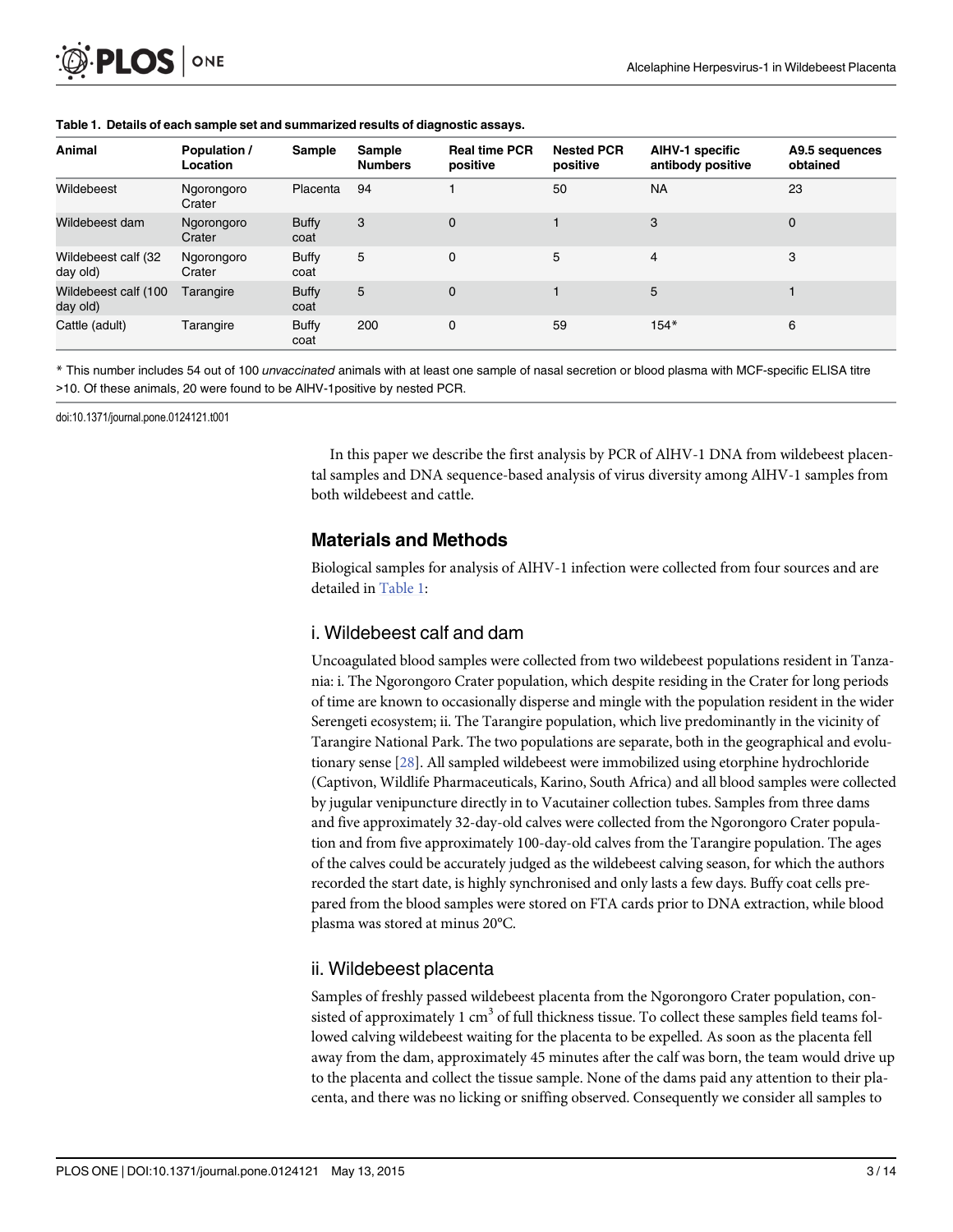<span id="page-2-0"></span>

| Animal                           | Population /<br>Location | <b>Sample</b>        | <b>Sample</b><br><b>Numbers</b> | <b>Real time PCR</b><br>positive | <b>Nested PCR</b><br>positive | <b>AIHV-1 specific</b><br>antibody positive | A9.5 sequences<br>obtained |
|----------------------------------|--------------------------|----------------------|---------------------------------|----------------------------------|-------------------------------|---------------------------------------------|----------------------------|
| Wildebeest                       | Ngorongoro<br>Crater     | Placenta             | 94                              |                                  | 50                            | <b>NA</b>                                   | 23                         |
| Wildebeest dam                   | Ngorongoro<br>Crater     | <b>Buffy</b><br>coat | 3                               | $\mathbf 0$                      |                               | 3                                           | $\mathbf 0$                |
| Wildebeest calf (32<br>day old)  | Ngorongoro<br>Crater     | <b>Buffy</b><br>coat | 5                               | $\mathbf 0$                      | 5                             | 4                                           | 3                          |
| Wildebeest calf (100<br>day old) | Tarangire                | <b>Buffy</b><br>coat | 5                               | $\mathbf 0$                      |                               | 5                                           |                            |
| Cattle (adult)                   | Tarangire                | <b>Buffy</b><br>coat | 200                             | $\mathbf 0$                      | 59                            | $154*$                                      | 6                          |

#### Table 1. Details of each sample set and summarized results of diagnostic assays.

\* This number includes 54 out of 100 unvaccinated animals with at least one sample of nasal secretion or blood plasma with MCF-specific ELISA titre >10. Of these animals, 20 were found to be AlHV-1positive by nested PCR.

doi:10.1371/journal.pone.0124121.t001

In this paper we describe the first analysis by PCR of AlHV-1 DNA from wildebeest placental samples and DNA sequence-based analysis of virus diversity among AlHV-1 samples from both wildebeest and cattle.

#### Materials and Methods

Biological samples for analysis of AlHV-1 infection were collected from four sources and are detailed in Table 1:

#### i. Wildebeest calf and dam

Uncoagulated blood samples were collected from two wildebeest populations resident in Tanzania: i. The Ngorongoro Crater population, which despite residing in the Crater for long periods of time are known to occasionally disperse and mingle with the population resident in the wider Serengeti ecosystem; ii. The Tarangire population, which live predominantly in the vicinity of Tarangire National Park. The two populations are separate, both in the geographical and evolutionary sense [[28](#page-13-0)]. All sampled wildebeest were immobilized using etorphine hydrochloride (Captivon, Wildlife Pharmaceuticals, Karino, South Africa) and all blood samples were collected by jugular venipuncture directly in to Vacutainer collection tubes. Samples from three dams and five approximately 32-day-old calves were collected from the Ngorongoro Crater population and from five approximately 100-day-old calves from the Tarangire population. The ages of the calves could be accurately judged as the wildebeest calving season, for which the authors recorded the start date, is highly synchronised and only lasts a few days. Buffy coat cells prepared from the blood samples were stored on FTA cards prior to DNA extraction, while blood plasma was stored at minus 20°C.

#### ii. Wildebeest placenta

Samples of freshly passed wildebeest placenta from the Ngorongoro Crater population, consisted of approximately 1 cm<sup>3</sup> of full thickness tissue. To collect these samples field teams followed calving wildebeest waiting for the placenta to be expelled. As soon as the placenta fell away from the dam, approximately 45 minutes after the calf was born, the team would drive up to the placenta and collect the tissue sample. None of the dams paid any attention to their placenta, and there was no licking or sniffing observed. Consequently we consider all samples to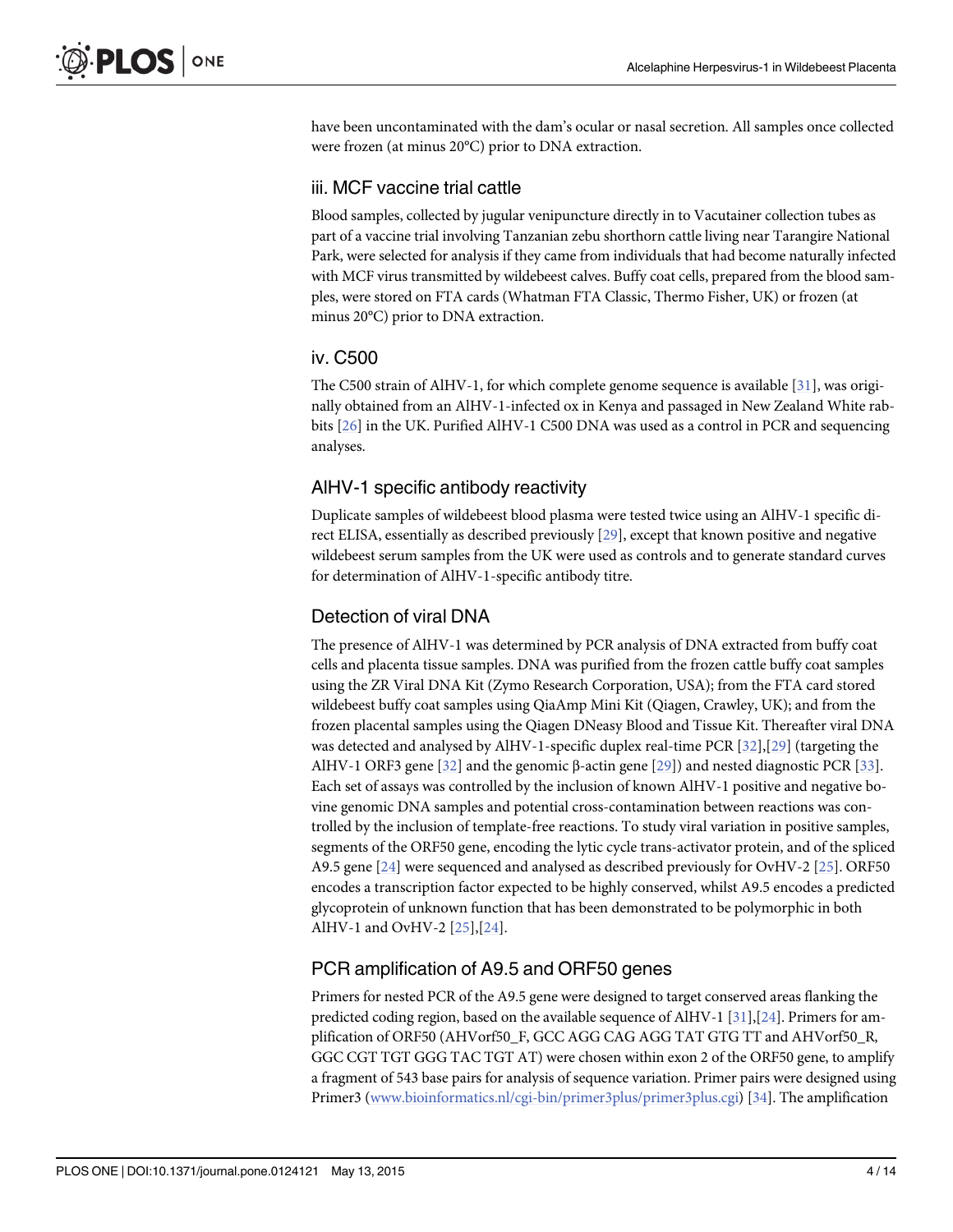<span id="page-3-0"></span>have been uncontaminated with the dam's ocular or nasal secretion. All samples once collected were frozen (at minus 20°C) prior to DNA extraction.

#### iii. MCF vaccine trial cattle

Blood samples, collected by jugular venipuncture directly in to Vacutainer collection tubes as part of a vaccine trial involving Tanzanian zebu shorthorn cattle living near Tarangire National Park, were selected for analysis if they came from individuals that had become naturally infected with MCF virus transmitted by wildebeest calves. Buffy coat cells, prepared from the blood samples, were stored on FTA cards (Whatman FTA Classic, Thermo Fisher, UK) or frozen (at minus 20°C) prior to DNA extraction.

#### iv. C500

The C500 strain of AlHV-1, for which complete genome sequence is available [\[31\]](#page-13-0), was originally obtained from an AlHV-1-infected ox in Kenya and passaged in New Zealand White rabbits [[26](#page-13-0)] in the UK. Purified AlHV-1 C500 DNA was used as a control in PCR and sequencing analyses.

#### AlHV-1 specific antibody reactivity

Duplicate samples of wildebeest blood plasma were tested twice using an AlHV-1 specific direct ELISA, essentially as described previously [\[29](#page-13-0)], except that known positive and negative wildebeest serum samples from the UK were used as controls and to generate standard curves for determination of AlHV-1-specific antibody titre.

#### Detection of viral DNA

The presence of AlHV-1 was determined by PCR analysis of DNA extracted from buffy coat cells and placenta tissue samples. DNA was purified from the frozen cattle buffy coat samples using the ZR Viral DNA Kit (Zymo Research Corporation, USA); from the FTA card stored wildebeest buffy coat samples using QiaAmp Mini Kit (Qiagen, Crawley, UK); and from the frozen placental samples using the Qiagen DNeasy Blood and Tissue Kit. Thereafter viral DNA was detected and analysed by AlHV-1-specific duplex real-time PCR [[32\]](#page-13-0),[[29](#page-13-0)] (targeting the AlHV-1 ORF3 gene [\[32\]](#page-13-0) and the genomic β-actin gene [[29\]](#page-13-0)) and nested diagnostic PCR [[33](#page-13-0)]. Each set of assays was controlled by the inclusion of known AlHV-1 positive and negative bovine genomic DNA samples and potential cross-contamination between reactions was controlled by the inclusion of template-free reactions. To study viral variation in positive samples, segments of the ORF50 gene, encoding the lytic cycle trans-activator protein, and of the spliced A9.5 gene [[24](#page-13-0)] were sequenced and analysed as described previously for OvHV-2 [\[25\]](#page-13-0). ORF50 encodes a transcription factor expected to be highly conserved, whilst A9.5 encodes a predicted glycoprotein of unknown function that has been demonstrated to be polymorphic in both AlHV-1 and OvHV-2 [\[25\]](#page-13-0),[[24\]](#page-13-0).

#### PCR amplification of A9.5 and ORF50 genes

Primers for nested PCR of the A9.5 gene were designed to target conserved areas flanking the predicted coding region, based on the available sequence of AlHV-1  $[31],[24]$  $[31],[24]$  $[31],[24]$  $[31],[24]$ . Primers for amplification of ORF50 (AHVorf50\_F, GCC AGG CAG AGG TAT GTG TT and AHVorf50\_R, GGC CGT TGT GGG TAC TGT AT) were chosen within exon 2 of the ORF50 gene, to amplify a fragment of 543 base pairs for analysis of sequence variation. Primer pairs were designed using Primer3 ([www.bioinformatics.nl/cgi-bin/primer3plus/primer3plus.cgi\)](http://www.bioinformatics.nl/cgi-bin/primer3plus/primer3plus.cgi) [[34](#page-13-0)]. The amplification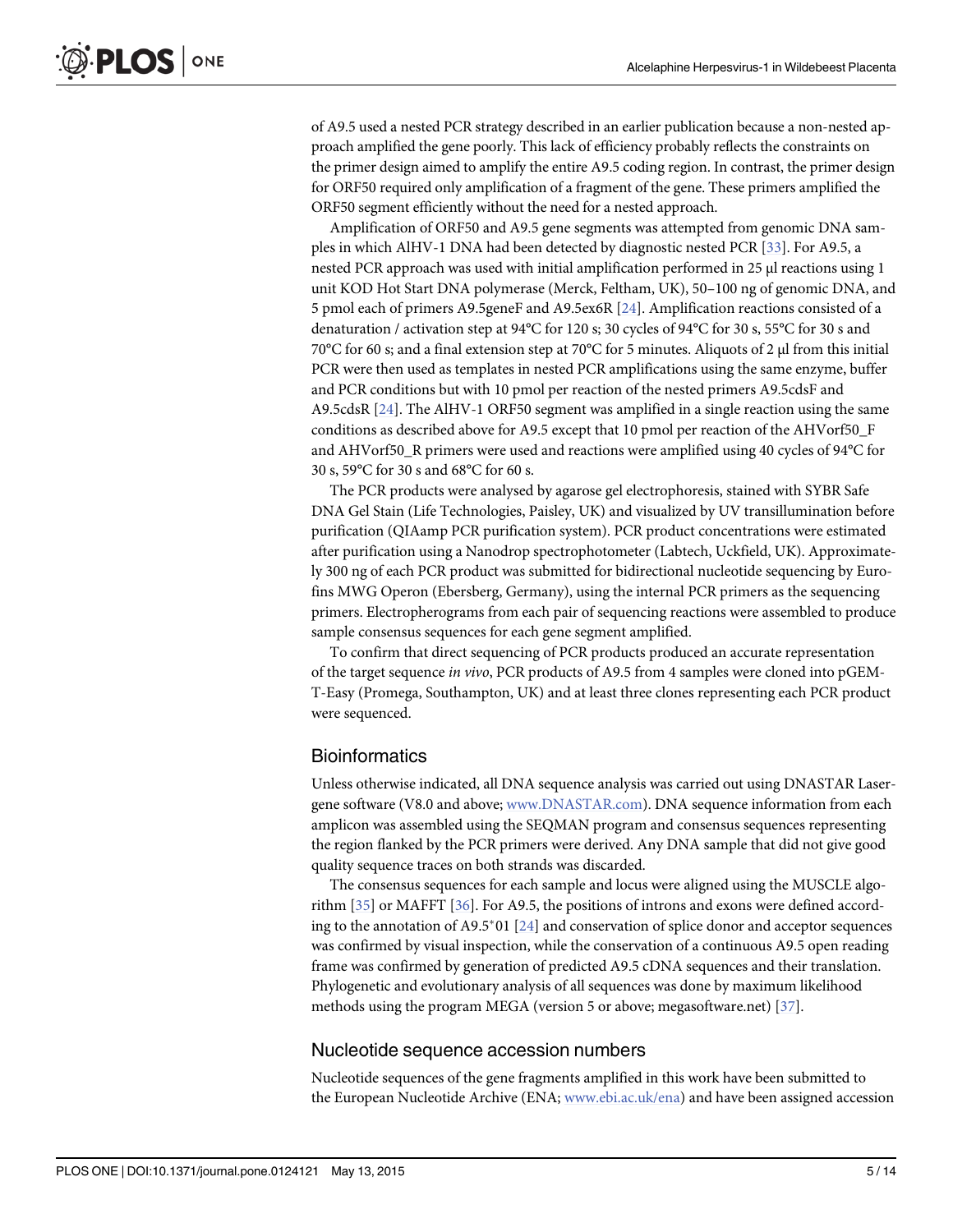<span id="page-4-0"></span>of A9.5 used a nested PCR strategy described in an earlier publication because a non-nested approach amplified the gene poorly. This lack of efficiency probably reflects the constraints on the primer design aimed to amplify the entire A9.5 coding region. In contrast, the primer design for ORF50 required only amplification of a fragment of the gene. These primers amplified the ORF50 segment efficiently without the need for a nested approach.

Amplification of ORF50 and A9.5 gene segments was attempted from genomic DNA samples in which AlHV-1 DNA had been detected by diagnostic nested PCR [[33](#page-13-0)]. For A9.5, a nested PCR approach was used with initial amplification performed in 25 μl reactions using 1 unit KOD Hot Start DNA polymerase (Merck, Feltham, UK), 50–100 ng of genomic DNA, and 5 pmol each of primers A9.5geneF and A9.5ex6R [\[24](#page-13-0)]. Amplification reactions consisted of a denaturation / activation step at 94°C for 120 s; 30 cycles of 94°C for 30 s, 55°C for 30 s and 70°C for 60 s; and a final extension step at 70°C for 5 minutes. Aliquots of 2 μl from this initial PCR were then used as templates in nested PCR amplifications using the same enzyme, buffer and PCR conditions but with 10 pmol per reaction of the nested primers A9.5cdsF and A9.5cdsR [\[24](#page-13-0)]. The AlHV-1 ORF50 segment was amplified in a single reaction using the same conditions as described above for A9.5 except that 10 pmol per reaction of the AHVorf50\_F and AHVorf50\_R primers were used and reactions were amplified using 40 cycles of 94°C for 30 s, 59°C for 30 s and 68°C for 60 s.

The PCR products were analysed by agarose gel electrophoresis, stained with SYBR Safe DNA Gel Stain (Life Technologies, Paisley, UK) and visualized by UV transillumination before purification (QIAamp PCR purification system). PCR product concentrations were estimated after purification using a Nanodrop spectrophotometer (Labtech, Uckfield, UK). Approximately 300 ng of each PCR product was submitted for bidirectional nucleotide sequencing by Eurofins MWG Operon (Ebersberg, Germany), using the internal PCR primers as the sequencing primers. Electropherograms from each pair of sequencing reactions were assembled to produce sample consensus sequences for each gene segment amplified.

To confirm that direct sequencing of PCR products produced an accurate representation of the target sequence in vivo, PCR products of A9.5 from 4 samples were cloned into pGEM-T-Easy (Promega, Southampton, UK) and at least three clones representing each PCR product were sequenced.

#### Bioinformatics

Unless otherwise indicated, all DNA sequence analysis was carried out using DNASTAR Lasergene software (V8.0 and above; [www.DNASTAR.com\)](http://www.dnastar.com/). DNA sequence information from each amplicon was assembled using the SEQMAN program and consensus sequences representing the region flanked by the PCR primers were derived. Any DNA sample that did not give good quality sequence traces on both strands was discarded.

The consensus sequences for each sample and locus were aligned using the MUSCLE algorithm [\[35\]](#page-13-0) or MAFFT [\[36](#page-13-0)]. For A9.5, the positions of introns and exons were defined accord-ing to the annotation of A9.5<sup>\*</sup>01 [[24](#page-13-0)] and conservation of splice donor and acceptor sequences was confirmed by visual inspection, while the conservation of a continuous A9.5 open reading frame was confirmed by generation of predicted A9.5 cDNA sequences and their translation. Phylogenetic and evolutionary analysis of all sequences was done by maximum likelihood methods using the program MEGA (version 5 or above; megasoftware.net) [\[37](#page-13-0)].

#### Nucleotide sequence accession numbers

Nucleotide sequences of the gene fragments amplified in this work have been submitted to the European Nucleotide Archive (ENA; [www.ebi.ac.uk/ena](http://www.ebi.ac.uk/ena)) and have been assigned accession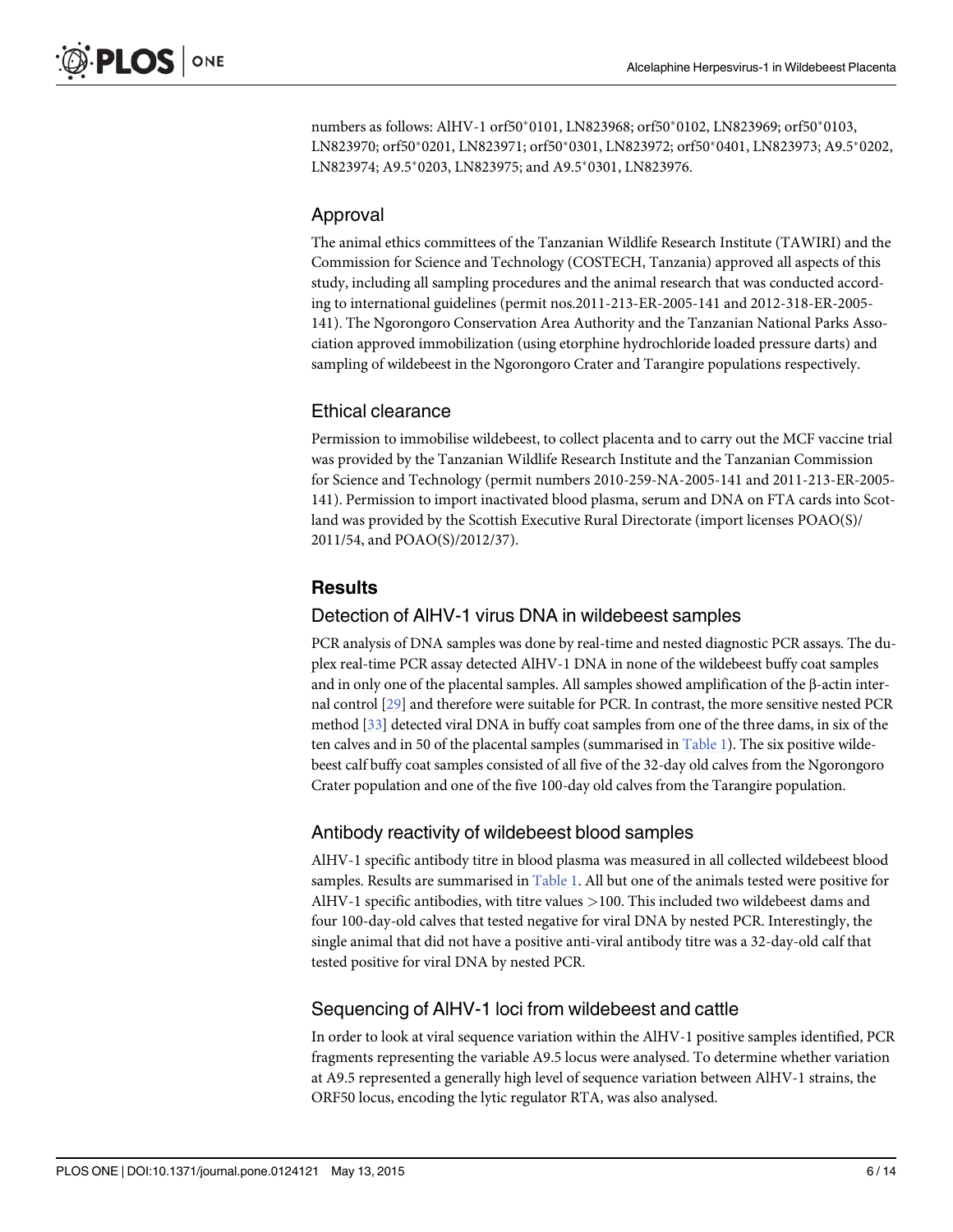numbers as follows: AlHV-1 orf50\*0101, LN823968; orf50\*0102, LN823969; orf50\*0103, LN823970; orf50\*0201, LN823971; orf50\*0301, LN823972; orf50\*0401, LN823973; A9.5\*0202, LN823974; A9.5\*0203, LN823975; and A9.5\*0301, LN823976.

## Approval

The animal ethics committees of the Tanzanian Wildlife Research Institute (TAWIRI) and the Commission for Science and Technology (COSTECH, Tanzania) approved all aspects of this study, including all sampling procedures and the animal research that was conducted according to international guidelines (permit nos.2011-213-ER-2005-141 and 2012-318-ER-2005- 141). The Ngorongoro Conservation Area Authority and the Tanzanian National Parks Association approved immobilization (using etorphine hydrochloride loaded pressure darts) and sampling of wildebeest in the Ngorongoro Crater and Tarangire populations respectively.

#### Ethical clearance

Permission to immobilise wildebeest, to collect placenta and to carry out the MCF vaccine trial was provided by the Tanzanian Wildlife Research Institute and the Tanzanian Commission for Science and Technology (permit numbers 2010-259-NA-2005-141 and 2011-213-ER-2005- 141). Permission to import inactivated blood plasma, serum and DNA on FTA cards into Scotland was provided by the Scottish Executive Rural Directorate (import licenses POAO(S)/ 2011/54, and POAO(S)/2012/37).

## **Results**

#### Detection of AlHV-1 virus DNA in wildebeest samples

PCR analysis of DNA samples was done by real-time and nested diagnostic PCR assays. The duplex real-time PCR assay detected AlHV-1 DNA in none of the wildebeest buffy coat samples and in only one of the placental samples. All samples showed amplification of the β-actin internal control [\[29\]](#page-13-0) and therefore were suitable for PCR. In contrast, the more sensitive nested PCR method [\[33\]](#page-13-0) detected viral DNA in buffy coat samples from one of the three dams, in six of the ten calves and in 50 of the placental samples (summarised in  $Table 1$ ). The six positive wildebeest calf buffy coat samples consisted of all five of the 32-day old calves from the Ngorongoro Crater population and one of the five 100-day old calves from the Tarangire population.

#### Antibody reactivity of wildebeest blood samples

AlHV-1 specific antibody titre in blood plasma was measured in all collected wildebeest blood samples. Results are summarised in [Table 1](#page-2-0). All but one of the animals tested were positive for AlHV-1 specific antibodies, with titre values >100. This included two wildebeest dams and four 100-day-old calves that tested negative for viral DNA by nested PCR. Interestingly, the single animal that did not have a positive anti-viral antibody titre was a 32-day-old calf that tested positive for viral DNA by nested PCR.

#### Sequencing of AlHV-1 loci from wildebeest and cattle

In order to look at viral sequence variation within the AlHV-1 positive samples identified, PCR fragments representing the variable A9.5 locus were analysed. To determine whether variation at A9.5 represented a generally high level of sequence variation between AlHV-1 strains, the ORF50 locus, encoding the lytic regulator RTA, was also analysed.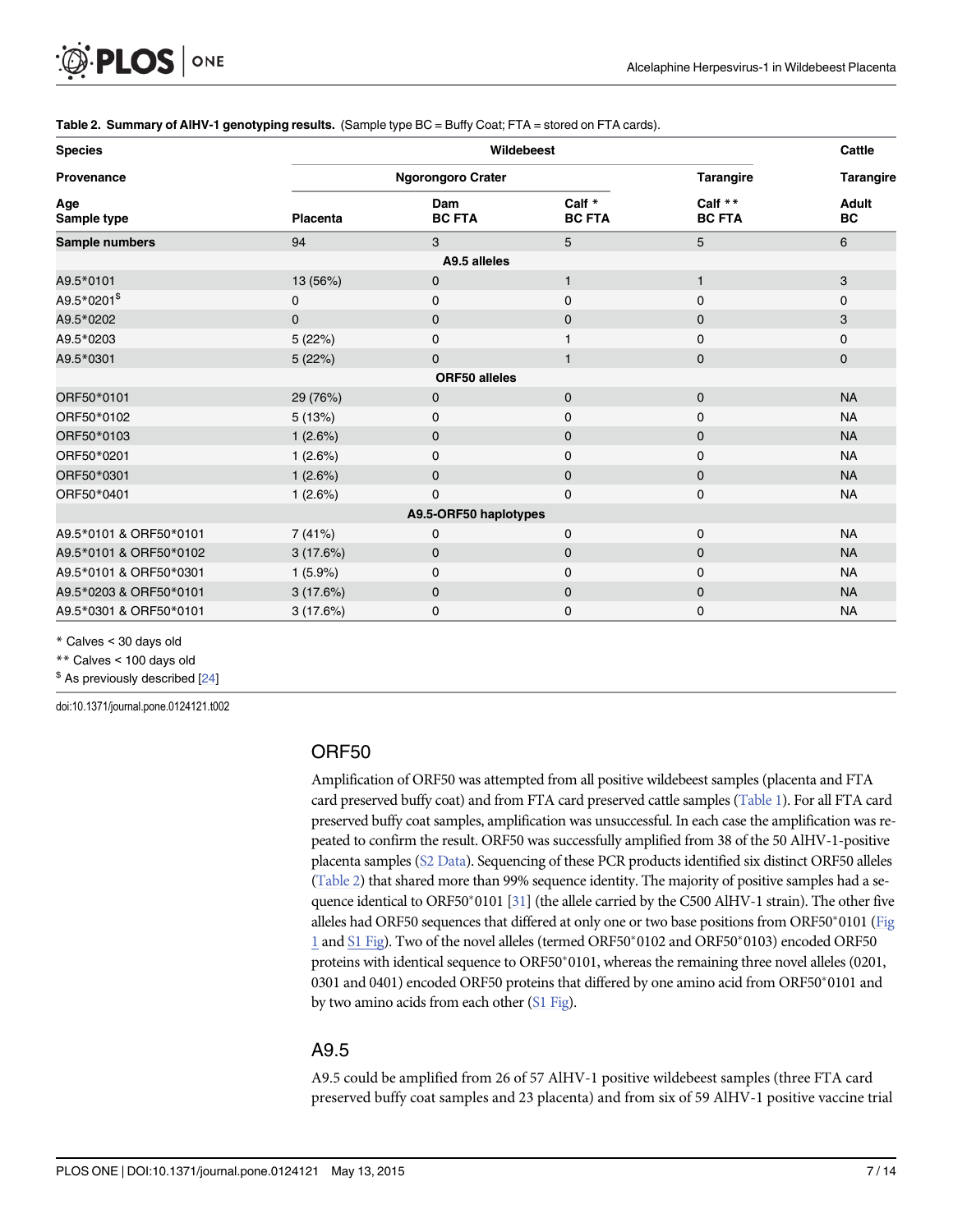#### <span id="page-6-0"></span>Table 2. Summary of AIHV-1 genotyping results. (Sample type BC = Buffy Coat; FTA = stored on FTA cards).

| <b>Species</b>          |                 | Cattle                   |                         |                          |             |  |  |  |  |
|-------------------------|-----------------|--------------------------|-------------------------|--------------------------|-------------|--|--|--|--|
| Provenance              |                 | <b>Ngorongoro Crater</b> | <b>Tarangire</b>        | <b>Tarangire</b>         |             |  |  |  |  |
| Age<br>Sample type      | <b>Placenta</b> | Dam<br><b>BC FTA</b>     | Calf *<br><b>BC FTA</b> | Calf **<br><b>BC FTA</b> | Adult<br>BC |  |  |  |  |
| Sample numbers          | 94              | 3                        | 5                       | 5                        | 6           |  |  |  |  |
| A9.5 alleles            |                 |                          |                         |                          |             |  |  |  |  |
| A9.5*0101               | 13 (56%)        | $\mathbf 0$              | $\mathbf{1}$            | $\mathbf{1}$             | 3           |  |  |  |  |
| A9.5*0201 <sup>\$</sup> | 0               | 0                        | 0                       | 0                        | 0           |  |  |  |  |
| A9.5*0202               | $\mathbf 0$     | $\mathbf 0$              | $\mathbf 0$             | $\mathbf 0$              | 3           |  |  |  |  |
| A9.5*0203               | 5 (22%)         | $\mathbf 0$              |                         | $\mathbf 0$              | 0           |  |  |  |  |
| A9.5*0301               | 5(22%)          | $\mathbf{0}$             | $\mathbf{1}$            | $\mathbf 0$              | 0           |  |  |  |  |
| <b>ORF50 alleles</b>    |                 |                          |                         |                          |             |  |  |  |  |
| ORF50*0101              | 29 (76%)        | $\mathbf 0$              | $\mathbf 0$             | $\mathbf{0}$             | <b>NA</b>   |  |  |  |  |
| ORF50*0102              | 5(13%)          | 0                        | 0                       | $\mathbf 0$              | <b>NA</b>   |  |  |  |  |
| ORF50*0103              | 1(2.6%)         | $\mathbf 0$              | $\mathbf{0}$            | $\mathbf 0$              | <b>NA</b>   |  |  |  |  |
| ORF50*0201              | 1(2.6%)         | $\mathbf 0$              | 0                       | $\mathbf 0$              | <b>NA</b>   |  |  |  |  |
| ORF50*0301              | 1(2.6%)         | $\mathbf{0}$             | $\mathbf{0}$            | $\mathbf{0}$             | <b>NA</b>   |  |  |  |  |
| ORF50*0401              | 1(2.6%)         | 0                        | $\mathbf 0$             | 0                        | <b>NA</b>   |  |  |  |  |
| A9.5-ORF50 haplotypes   |                 |                          |                         |                          |             |  |  |  |  |
| A9.5*0101 & ORF50*0101  | 7 (41%)         | 0                        | $\mathbf 0$             | 0                        | <b>NA</b>   |  |  |  |  |
| A9.5*0101 & ORF50*0102  | 3(17.6%)        | $\mathbf 0$              | $\mathbf{0}$            | $\mathbf 0$              | <b>NA</b>   |  |  |  |  |
| A9.5*0101 & ORF50*0301  | 1(5.9%)         | 0                        | $\mathbf 0$             | $\mathbf 0$              | <b>NA</b>   |  |  |  |  |
| A9.5*0203 & ORF50*0101  | 3(17.6%)        | $\mathbf 0$              | $\mathbf 0$             | $\mathbf 0$              | <b>NA</b>   |  |  |  |  |
| A9.5*0301 & ORF50*0101  | 3(17.6%)        | 0                        | 0                       | $\mathbf 0$              | <b>NA</b>   |  |  |  |  |

\* Calves < 30 days old

\*\* Calves < 100 days old

 $$$  As previously described  $[24]$  $[24]$ 

doi:10.1371/journal.pone.0124121.t002

#### ORF50

Amplification of ORF50 was attempted from all positive wildebeest samples (placenta and FTA card preserved buffy coat) and from FTA card preserved cattle samples ([Table 1\)](#page-2-0). For all FTA card preserved buffy coat samples, amplification was unsuccessful. In each case the amplification was repeated to confirm the result. ORF50 was successfully amplified from 38 of the 50 AlHV-1-positive placenta samples ([S2 Data](#page-11-0)). Sequencing of these PCR products identified six distinct ORF50 alleles (Table 2) that shared more than 99% sequence identity. The majority of positive samples had a sequence identical to ORF50 $*$ 0101 [\[31](#page-13-0)] (the allele carried by the C500 AlHV-1 strain). The other five alleles had ORF50 sequences that differed at only one or two base positions from ORF50\*0101 [\(Fig](#page-7-0)  $1$  and  $S1$  Fig). Two of the novel alleles (termed ORF50\*0102 and ORF50\*0103) encoded ORF50 proteins with identical sequence to ORF50\*0101, whereas the remaining three novel alleles (0201, 0301 and 0401) encoded ORF50 proteins that differed by one amino acid from ORF50\*0101 and by two amino acids from each other [\(S1 Fig](#page-11-0)).

#### A9.5

A9.5 could be amplified from 26 of 57 AlHV-1 positive wildebeest samples (three FTA card preserved buffy coat samples and 23 placenta) and from six of 59 AlHV-1 positive vaccine trial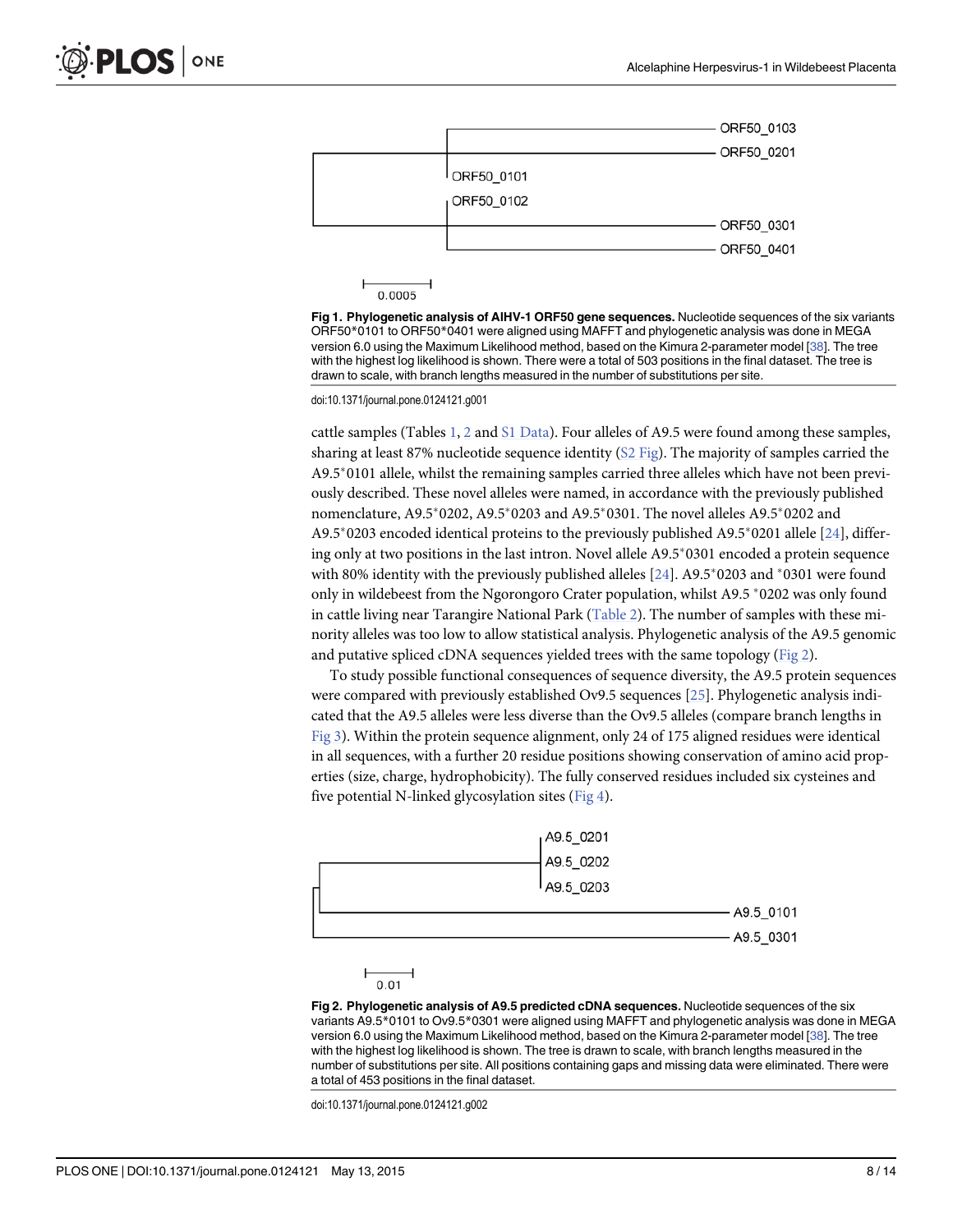<span id="page-7-0"></span>

0.0005

[Fig 1. P](#page-6-0)hylogenetic analysis of AIHV-1 ORF50 gene sequences. Nucleotide sequences of the six variants ORF50\*0101 to ORF50\*0401 were aligned using MAFFT and phylogenetic analysis was done in MEGA version 6.0 using the Maximum Likelihood method, based on the Kimura 2-parameter model [\[38](#page-13-0)]. The tree with the highest log likelihood is shown. There were a total of 503 positions in the final dataset. The tree is drawn to scale, with branch lengths measured in the number of substitutions per site.

doi:10.1371/journal.pone.0124121.g001

cattle samples (Tables  $1, 2$  $1, 2$  $1, 2$  and  $S1$  Data). Four alleles of A9.5 were found among these samples, sharing at least 87% nucleotide sequence identity ( $S2$  Fig). The majority of samples carried the A9.5<sup>\*</sup>0101 allele, whilst the remaining samples carried three alleles which have not been previously described. These novel alleles were named, in accordance with the previously published nomenclature, A9.5\*0202, A9.5\*0203 and A9.5\*0301. The novel alleles A9.5\*0202 and  $A9.5^{\circ}0203$  encoded identical proteins to the previously published  $A9.5^{\circ}0201$  allele [\[24\]](#page-13-0), differing only at two positions in the last intron. Novel allele  $A9.5^*0301$  encoded a protein sequence with 80% identity with the previously published alleles  $[24]$  $[24]$  $[24]$ . A9.5\*0203 and \*0301 were found only in wildebeest from the Ngorongoro Crater population, whilst A9.5  $*$  0202 was only found in cattle living near Tarangire National Park [\(Table 2\)](#page-6-0). The number of samples with these minority alleles was too low to allow statistical analysis. Phylogenetic analysis of the A9.5 genomic and putative spliced cDNA sequences yielded trees with the same topology (Fig 2).

To study possible functional consequences of sequence diversity, the A9.5 protein sequences were compared with previously established Ov9.5 sequences [[25](#page-13-0)]. Phylogenetic analysis indicated that the A9.5 alleles were less diverse than the Ov9.5 alleles (compare branch lengths in [Fig 3](#page-8-0)). Within the protein sequence alignment, only 24 of 175 aligned residues were identical in all sequences, with a further 20 residue positions showing conservation of amino acid properties (size, charge, hydrophobicity). The fully conserved residues included six cysteines and five potential N-linked glycosylation sites  $(Fig 4)$  $(Fig 4)$  $(Fig 4)$ .





Fig 2. Phylogenetic analysis of A9.5 predicted cDNA sequences. Nucleotide sequences of the six variants A9.5\*0101 to Ov9.5\*0301 were aligned using MAFFT and phylogenetic analysis was done in MEGA version 6.0 using the Maximum Likelihood method, based on the Kimura 2-parameter model [\[38](#page-13-0)]. The tree with the highest log likelihood is shown. The tree is drawn to scale, with branch lengths measured in the number of substitutions per site. All positions containing gaps and missing data were eliminated. There were a total of 453 positions in the final dataset.

doi:10.1371/journal.pone.0124121.g002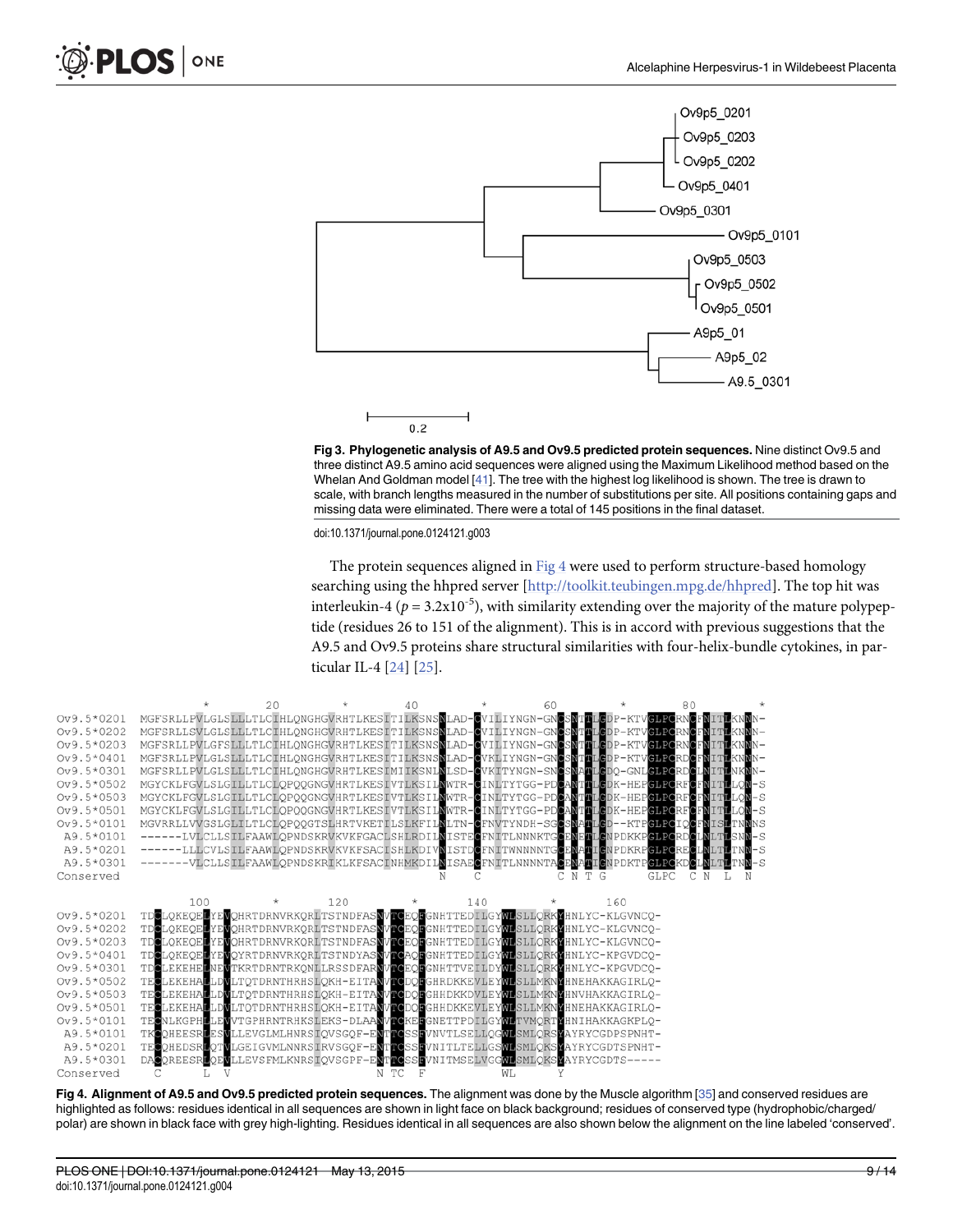<span id="page-8-0"></span>





doi:10.1371/journal.pone.0124121.g003

The protein sequences aligned in Fig 4 were used to perform structure-based homology searching using the hhpred server [\[http://toolkit.teubingen.mpg.de/hhpred](http://toolkit.teubingen.mpg.de/hhpred)]. The top hit was interleukin-4 ( $p = 3.2x10^{-5}$ ), with similarity extending over the majority of the mature polypeptide (residues 26 to 151 of the alignment). This is in accord with previous suggestions that the A9.5 and Ov9.5 proteins share structural similarities with four-helix-bundle cytokines, in particular IL-4 [\[24\]](#page-13-0) [\[25\]](#page-13-0).

|              |                                                                                                           | $20^{\circ}$ |     | 40 |     | 60 |            | 80   |   |
|--------------|-----------------------------------------------------------------------------------------------------------|--------------|-----|----|-----|----|------------|------|---|
| Ov9.5*0201   | MGFSRLLPVLGLSLLLTLCIHLONGHGVRHTLKESITILKSNSNLAD-@VILIYNGN-GNCSNTTLGDP-KTVGLPQRNCFNITLKNNN-                |              |     |    |     |    |            |      |   |
| Ov9.5*0202   | MGFSRLLSVLGLSLLLTLCIHLQNGHGVRHTLKESITILKSNSNLAD-QVILIYNGN-GNCSNTTLGDP-KTVCLPQRNCFNITLKNNN-                |              |     |    |     |    |            |      |   |
| Ov9.5*0203   | MGFSRLLPVLGFSLLLTLCIHLQNGHGVRHTLKESITILKSNSNLAD-GVILIYNGN-GNCSNTTLGDP-KTVGLPQRNCFNITLKNNN-                |              |     |    |     |    |            |      |   |
| Ov9.5*0401   | MGFSRLLPVLGLSLLLTLCIHLONGHGVRHTLKESITILKSNSNLAD-CVKLIYNGN-GNCSNTTLCDP-KTVGLPORDCFNITLKNNN-                |              |     |    |     |    |            |      |   |
| Ov9.5*0301   | MGFSRLLPVLGLSLLLTLCIHLQNGHGVRHTLKESIMIIKSNLNLSD-GVKITYNGN-SNGSNATLGDQ-GNLGLPCRDCLNITLNKNN-                |              |     |    |     |    |            |      |   |
| Ov9.5*0502   | MGYCKLFGVLSLGILLTLCLQPQQGNGVHRTLKESIVTLKSILNWTR-CINLTYTGG-PDCANTTLGDK-HEPCLPQRFCFNITLLQN-S                |              |     |    |     |    |            |      |   |
| $Ov9.5*0503$ | MGYCKLFGVLSLGILLTLCLQPQQGNGVHRTLKESIVTLKSILNWTR-CINLTYTGG-PDCANTTLGDK-HEPGLPORFCFNITLLQN-S                |              |     |    |     |    |            |      |   |
| Ov9.5*0501   | MGYCKLFGVLSLGTLLTLCLQPQQGNGVHRTLKESIVTLKSILNWTR-CINLTYTGG-PDCANTTLCDK-HEPCLPCRFCFNITLLQN-S                |              |     |    |     |    |            |      |   |
| Ov9.5*0101   | MGVRRLLVVGSLGLILTLCLQPQQGTSLHRTVKETILSLKFILNLTN-QFNVTYNDH-SGCSNATLGD--KTPGLPQIQCFNISLTNNNS                |              |     |    |     |    |            |      |   |
| A9.5*0101    | ------LVLCLLSILFAAWLQPNDSKRVKVKFGACLSHLRDILNISTECFNITLNNNKTGCENETLCNPDKKPGLPCRDCLNLTLSNN-S                |              |     |    |     |    |            |      |   |
| A9.5*0201    | ------LLLCVLSILFAAWLOPNDSKRVKVKFSACISHLKDIVNISTDOFNITWNNNNTGOENAOICNDPDKRPGLPCREOLNLTLTNN-S               |              |     |    |     |    |            |      |   |
| A9.5*0301    | -------VLCLLSILFAAWLQPNDSKRIKLKFSACINHMKDIL <mark>N</mark> ISAECFNITLNNNNTACENATICNPDKTPCLPCKDCLNLTLTNN-S |              |     |    |     |    |            |      |   |
| Conserved    |                                                                                                           |              |     |    |     |    | C N T<br>G | GLPC | N |
|              |                                                                                                           |              |     |    |     |    |            |      |   |
|              | 100                                                                                                       |              | 120 |    | 140 |    | 160        |      |   |
| Ov9.5*0201   | TDCLQKEQELYEVQHRTDRNVRKQRLTSTNDFASNVTCEQLGHHTTEDILGYWLSLLQRKYHNLYC-KLGVNCQ-                               |              |     |    |     |    |            |      |   |
| Ov9.5*0202   | TDCLOKEOELYEWOHRTDRNVRKORLTSTNDFASNVTCEOFGNHTTEDILGYWLSLLORKYHNLYC-KLGVNCO-                               |              |     |    |     |    |            |      |   |
| Ov9.5*0203   | TDOLQKEQELYEVQHRTDRNVRKQRLTSTNDFASNVLOEQLGNHTTEDILGYMLSLLQRKYHNLYC-KLGVNCQ-                               |              |     |    |     |    |            |      |   |
| Ov9.5*0401   | TDCLOKEOELYEWOYRTDRNVRKORLTSTNDYASNVTCAOEGNHTTEDILGYWLSLLORKYHNLYC-KPGVDCO-                               |              |     |    |     |    |            |      |   |
| Ov9.5*0301   | TDCLEKEHELNEVTKRTDRNTRKONLLRSSDFARNVTCEOFGNHTTVEILDYNLSLLORKYHNLYC-KPGVDCQ-                               |              |     |    |     |    |            |      |   |
| Ov9.5*0502   | TECLEKEHALLDWLTQTDRNTHRHSLQKH-EITANVTCDQFGHRDKKEVLEYWLSLLMKNYHNEHAKKAGIRLQ-                               |              |     |    |     |    |            |      |   |
| Ov9.5*0503   | TECLEKEHALLDVLTQTDRNTHRHSLQKH-EITANVTCDQFGHHDKKDVLEYWLSLLMKNYHNVHAKKAGIRLQ-                               |              |     |    |     |    |            |      |   |
| Ov9.5*0501   | TECLEKEHALLDWLTQTDRNTHRHSLQKH-EITANVKCDQFGHHDKKEVLEYMLSLLMKNYHNEHAKKAGIRLQ-                               |              |     |    |     |    |            |      |   |
| Ov9.5*0101   | TECNLKGPHLLEWVTGPHRNTRHKSLEKS-DLAANVTCKEFGNETTPDILGYWLTVMORTYHNIHAKKAGKPLO-                               |              |     |    |     |    |            |      |   |
| A9.5*0101    | TKCOHEESRLESVLLEVGLMLHNRSIQVSGOF-ENTTCSSEVNVTLSELLOGNLSMLORSYAYRYCGDPSPNHT-                               |              |     |    |     |    |            |      |   |
| A9.5*0201    | TECOHEDSRLOTWLGEIGVMLNNRSIRVSGOF-ENTTCSSFVNITLTELLGSWLSMLOKSWAYRYCGDTSPNHT-                               |              |     |    |     |    |            |      |   |
| A9.5*0301    | DAGOREESRLOEMLLEVSFMLKNRSLOVSGPF-EMTLOSSLVNITMSELVGGWLSMLOKSMAYRYCGDTS-----                               |              |     |    |     |    |            |      |   |
| Conserved    |                                                                                                           |              |     |    |     | WL |            |      |   |

[Fig 4. A](#page-7-0)lignment of A9.5 and Ov9.5 predicted protein sequences. The alignment was done by the Muscle algorithm [[35\]](#page-13-0) and conserved residues are highlighted as follows: residues identical in all sequences are shown in light face on black background; residues of conserved type (hydrophobic/charged/ polar) are shown in black face with grey high-lighting. Residues identical in all sequences are also shown below the alignment on the line labeled 'conserved'.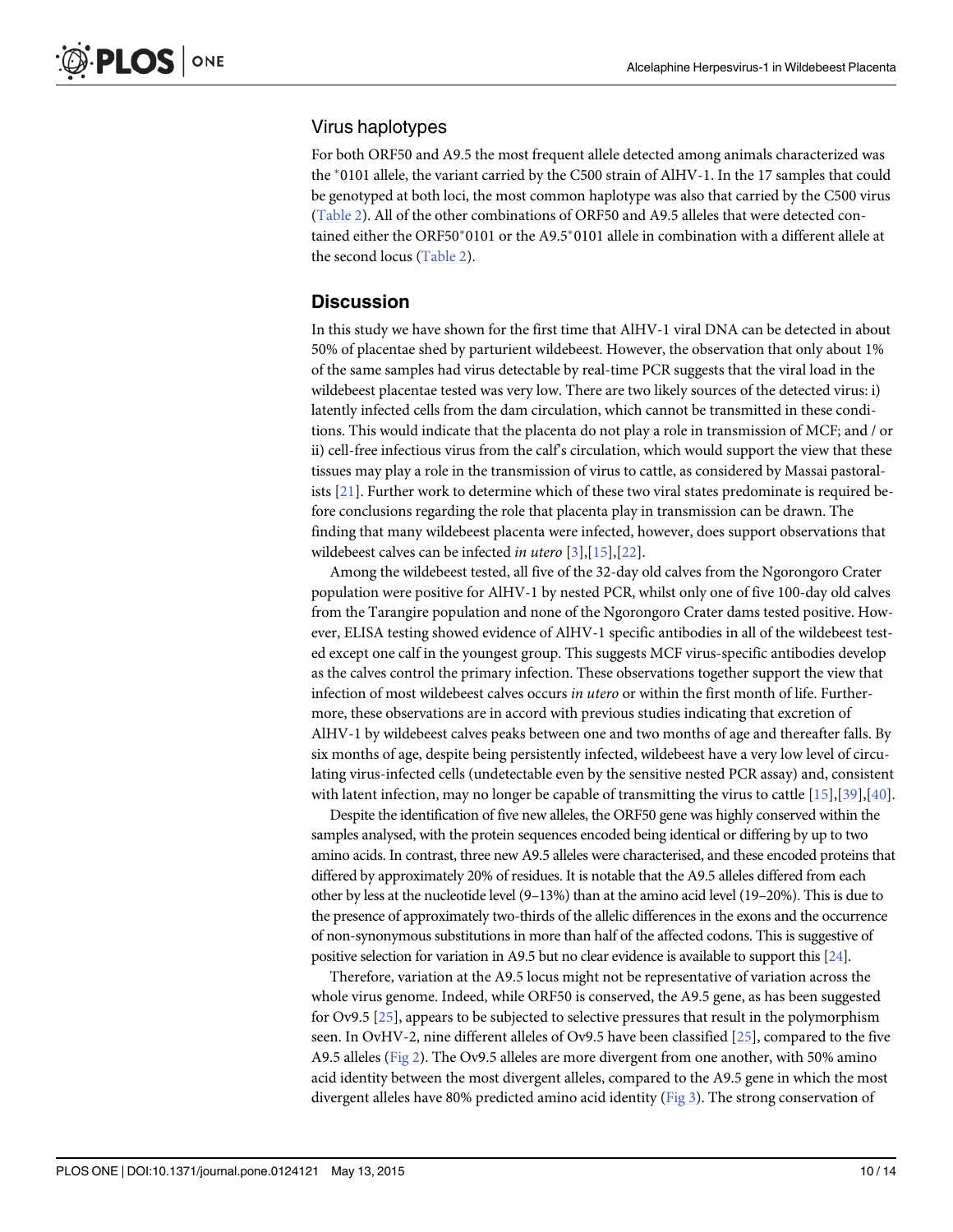#### <span id="page-9-0"></span>Virus haplotypes

For both ORF50 and A9.5 the most frequent allele detected among animals characterized was the  $*0101$  allele, the variant carried by the C500 strain of AlHV-1. In the 17 samples that could be genotyped at both loci, the most common haplotype was also that carried by the C500 virus [\(Table 2\)](#page-6-0). All of the other combinations of ORF50 and A9.5 alleles that were detected contained either the ORF50 $*0101$  or the A9.5 $*0101$  allele in combination with a different allele at the second locus ([Table 2\)](#page-6-0).

#### **Discussion**

In this study we have shown for the first time that AlHV-1 viral DNA can be detected in about 50% of placentae shed by parturient wildebeest. However, the observation that only about 1% of the same samples had virus detectable by real-time PCR suggests that the viral load in the wildebeest placentae tested was very low. There are two likely sources of the detected virus: i) latently infected cells from the dam circulation, which cannot be transmitted in these conditions. This would indicate that the placenta do not play a role in transmission of MCF; and / or ii) cell-free infectious virus from the calf's circulation, which would support the view that these tissues may play a role in the transmission of virus to cattle, as considered by Massai pastoralists [[21](#page-12-0)]. Further work to determine which of these two viral states predominate is required before conclusions regarding the role that placenta play in transmission can be drawn. The finding that many wildebeest placenta were infected, however, does support observations that wildebeest calves can be infected *in utero*  $[3], [15], [22]$  $[3], [15], [22]$  $[3], [15], [22]$  $[3], [15], [22]$  $[3], [15], [22]$  $[3], [15], [22]$ .

Among the wildebeest tested, all five of the 32-day old calves from the Ngorongoro Crater population were positive for AlHV-1 by nested PCR, whilst only one of five 100-day old calves from the Tarangire population and none of the Ngorongoro Crater dams tested positive. However, ELISA testing showed evidence of AlHV-1 specific antibodies in all of the wildebeest tested except one calf in the youngest group. This suggests MCF virus-specific antibodies develop as the calves control the primary infection. These observations together support the view that infection of most wildebeest calves occurs in utero or within the first month of life. Furthermore, these observations are in accord with previous studies indicating that excretion of AlHV-1 by wildebeest calves peaks between one and two months of age and thereafter falls. By six months of age, despite being persistently infected, wildebeest have a very low level of circulating virus-infected cells (undetectable even by the sensitive nested PCR assay) and, consistent with latent infection, may no longer be capable of transmitting the virus to cattle  $[15]$  $[15]$  $[15]$ ,  $[39]$  $[39]$  $[39]$ ,  $[40]$ .

Despite the identification of five new alleles, the ORF50 gene was highly conserved within the samples analysed, with the protein sequences encoded being identical or differing by up to two amino acids. In contrast, three new A9.5 alleles were characterised, and these encoded proteins that differed by approximately 20% of residues. It is notable that the A9.5 alleles differed from each other by less at the nucleotide level (9–13%) than at the amino acid level (19–20%). This is due to the presence of approximately two-thirds of the allelic differences in the exons and the occurrence of non-synonymous substitutions in more than half of the affected codons. This is suggestive of positive selection for variation in A9.5 but no clear evidence is available to support this [[24\]](#page-13-0).

Therefore, variation at the A9.5 locus might not be representative of variation across the whole virus genome. Indeed, while ORF50 is conserved, the A9.5 gene, as has been suggested for Ov9.5 [\[25\]](#page-13-0), appears to be subjected to selective pressures that result in the polymorphism seen. In OvHV-2, nine different alleles of Ov9.5 have been classified [\[25](#page-13-0)], compared to the five A9.5 alleles [\(Fig 2\)](#page-7-0). The Ov9.5 alleles are more divergent from one another, with 50% amino acid identity between the most divergent alleles, compared to the A9.5 gene in which the most divergent alleles have 80% predicted amino acid identity ( $Fig 3$ ). The strong conservation of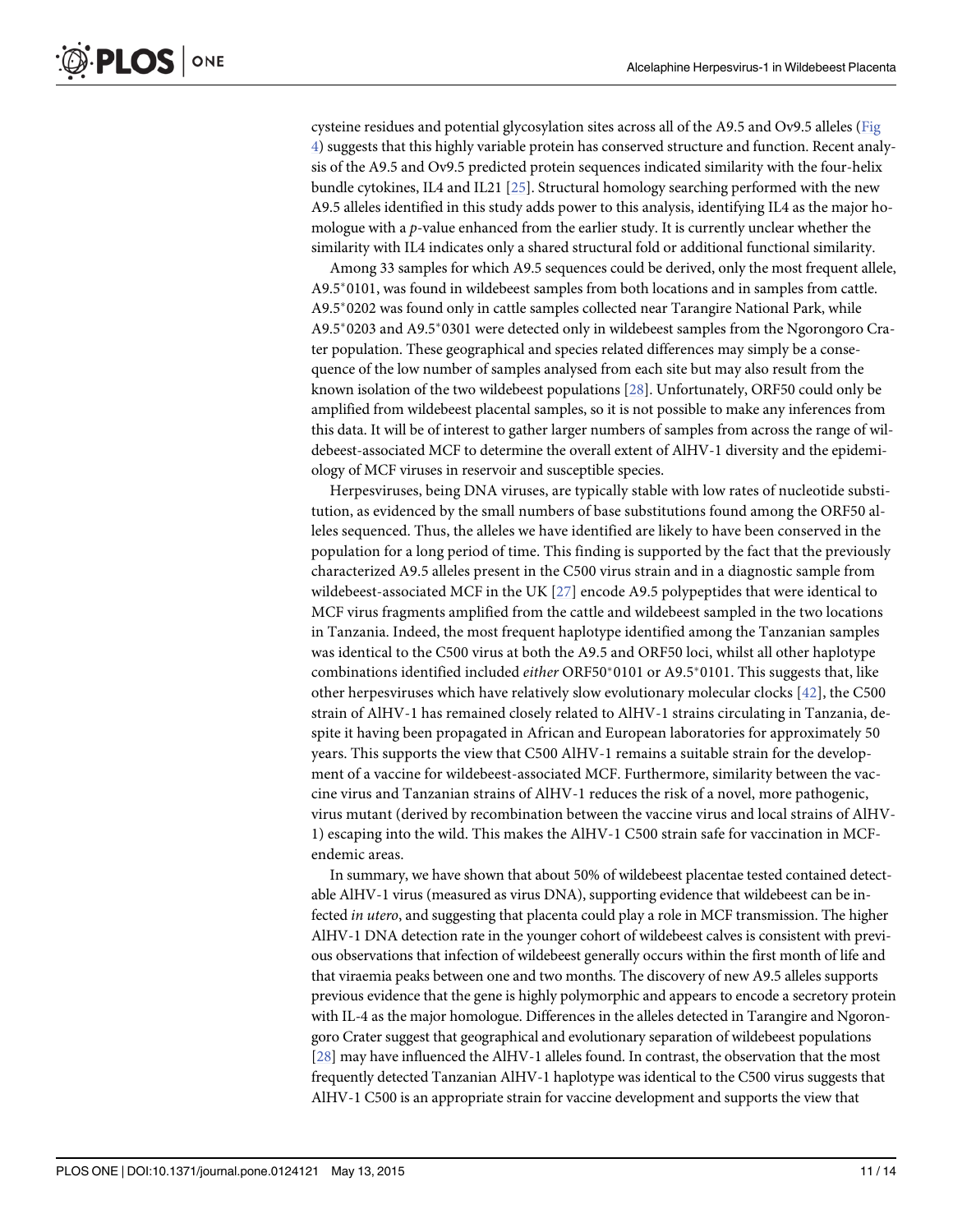<span id="page-10-0"></span>cysteine residues and potential glycosylation sites across all of the A9.5 and Ov9.5 alleles [\(Fig](#page-8-0) [4\)](#page-8-0) suggests that this highly variable protein has conserved structure and function. Recent analysis of the A9.5 and Ov9.5 predicted protein sequences indicated similarity with the four-helix bundle cytokines, IL4 and IL21 [\[25](#page-13-0)]. Structural homology searching performed with the new A9.5 alleles identified in this study adds power to this analysis, identifying IL4 as the major homologue with a p-value enhanced from the earlier study. It is currently unclear whether the similarity with IL4 indicates only a shared structural fold or additional functional similarity.

Among 33 samples for which A9.5 sequences could be derived, only the most frequent allele, A9.5<sup>\*</sup>0101, was found in wildebeest samples from both locations and in samples from cattle. A9.5\*0202 was found only in cattle samples collected near Tarangire National Park, while A9.5\*0203 and A9.5\*0301 were detected only in wildebeest samples from the Ngorongoro Crater population. These geographical and species related differences may simply be a consequence of the low number of samples analysed from each site but may also result from the known isolation of the two wildebeest populations [\[28\]](#page-13-0). Unfortunately, ORF50 could only be amplified from wildebeest placental samples, so it is not possible to make any inferences from this data. It will be of interest to gather larger numbers of samples from across the range of wildebeest-associated MCF to determine the overall extent of AlHV-1 diversity and the epidemiology of MCF viruses in reservoir and susceptible species.

Herpesviruses, being DNA viruses, are typically stable with low rates of nucleotide substitution, as evidenced by the small numbers of base substitutions found among the ORF50 alleles sequenced. Thus, the alleles we have identified are likely to have been conserved in the population for a long period of time. This finding is supported by the fact that the previously characterized A9.5 alleles present in the C500 virus strain and in a diagnostic sample from wildebeest-associated MCF in the UK  $[27]$  $[27]$  $[27]$  encode A9.5 polypeptides that were identical to MCF virus fragments amplified from the cattle and wildebeest sampled in the two locations in Tanzania. Indeed, the most frequent haplotype identified among the Tanzanian samples was identical to the C500 virus at both the A9.5 and ORF50 loci, whilst all other haplotype combinations identified included *either* ORF50 $*$ 0101 or A9.5 $*$ 0101. This suggests that, like other herpesviruses which have relatively slow evolutionary molecular clocks [\[42](#page-13-0)], the C500 strain of AlHV-1 has remained closely related to AlHV-1 strains circulating in Tanzania, despite it having been propagated in African and European laboratories for approximately 50 years. This supports the view that C500 AlHV-1 remains a suitable strain for the development of a vaccine for wildebeest-associated MCF. Furthermore, similarity between the vaccine virus and Tanzanian strains of AlHV-1 reduces the risk of a novel, more pathogenic, virus mutant (derived by recombination between the vaccine virus and local strains of AlHV-1) escaping into the wild. This makes the AlHV-1 C500 strain safe for vaccination in MCFendemic areas.

In summary, we have shown that about 50% of wildebeest placentae tested contained detectable AlHV-1 virus (measured as virus DNA), supporting evidence that wildebeest can be infected in utero, and suggesting that placenta could play a role in MCF transmission. The higher AlHV-1 DNA detection rate in the younger cohort of wildebeest calves is consistent with previous observations that infection of wildebeest generally occurs within the first month of life and that viraemia peaks between one and two months. The discovery of new A9.5 alleles supports previous evidence that the gene is highly polymorphic and appears to encode a secretory protein with IL-4 as the major homologue. Differences in the alleles detected in Tarangire and Ngorongoro Crater suggest that geographical and evolutionary separation of wildebeest populations [\[28\]](#page-13-0) may have influenced the AlHV-1 alleles found. In contrast, the observation that the most frequently detected Tanzanian AlHV-1 haplotype was identical to the C500 virus suggests that AlHV-1 C500 is an appropriate strain for vaccine development and supports the view that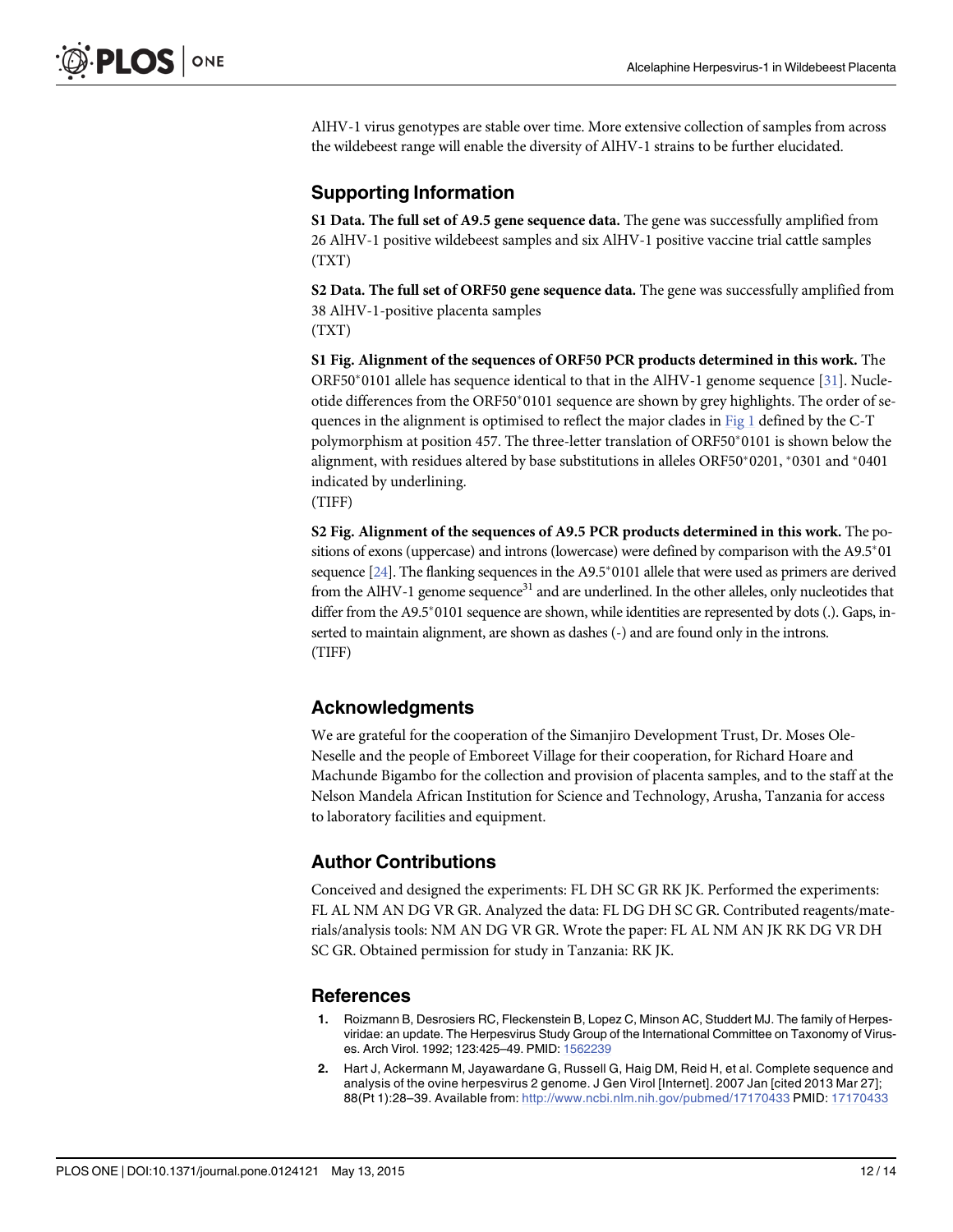<span id="page-11-0"></span>AlHV-1 virus genotypes are stable over time. More extensive collection of samples from across the wildebeest range will enable the diversity of AlHV-1 strains to be further elucidated.

### Supporting Information

[S1 Data](http://www.plosone.org/article/fetchSingleRepresentation.action?uri=info:doi/10.1371/journal.pone.0124121.s001). The full set of A9.5 gene sequence data. The gene was successfully amplified from 26 AlHV-1 positive wildebeest samples and six AlHV-1 positive vaccine trial cattle samples (TXT)

[S2 Data](http://www.plosone.org/article/fetchSingleRepresentation.action?uri=info:doi/10.1371/journal.pone.0124121.s002). The full set of ORF50 gene sequence data. The gene was successfully amplified from 38 AlHV-1-positive placenta samples (TXT)

[S1 Fig.](http://www.plosone.org/article/fetchSingleRepresentation.action?uri=info:doi/10.1371/journal.pone.0124121.s003) Alignment of the sequences of ORF50 PCR products determined in this work. The ORF50 $*$ 0101 allele has sequence identical to that in the AlHV-1 genome sequence [\[31\]](#page-13-0). Nucleotide differences from the ORF50\*0101 sequence are shown by grey highlights. The order of sequences in the alignment is optimised to reflect the major clades in [Fig 1](#page-7-0) defined by the C-T polymorphism at position 457. The three-letter translation of ORF50\*0101 is shown below the alignment, with residues altered by base substitutions in alleles ORF50 $*$ 0201,  $*$ 0301 and  $*$ 0401 indicated by underlining. (TIFF)

[S2 Fig.](http://www.plosone.org/article/fetchSingleRepresentation.action?uri=info:doi/10.1371/journal.pone.0124121.s004) Alignment of the sequences of A9.5 PCR products determined in this work. The positions of exons (uppercase) and introns (lowercase) were defined by comparison with the A9.5<sup>\*</sup>01 sequence  $[24]$  $[24]$ . The flanking sequences in the A9.5\*0101 allele that were used as primers are derived from the AlHV-1 genome sequence<sup>31</sup> and are underlined. In the other alleles, only nucleotides that differ from the A9.5\*0101 sequence are shown, while identities are represented by dots (.). Gaps, inserted to maintain alignment, are shown as dashes (-) and are found only in the introns. (TIFF)

#### Acknowledgments

We are grateful for the cooperation of the Simanjiro Development Trust, Dr. Moses Ole-Neselle and the people of Emboreet Village for their cooperation, for Richard Hoare and Machunde Bigambo for the collection and provision of placenta samples, and to the staff at the Nelson Mandela African Institution for Science and Technology, Arusha, Tanzania for access to laboratory facilities and equipment.

#### Author Contributions

Conceived and designed the experiments: FL DH SC GR RK JK. Performed the experiments: FL AL NM AN DG VR GR. Analyzed the data: FL DG DH SC GR. Contributed reagents/materials/analysis tools: NM AN DG VR GR. Wrote the paper: FL AL NM AN JK RK DG VR DH SC GR. Obtained permission for study in Tanzania: RK JK.

#### **References**

- [1.](#page-1-0) Roizmann B, Desrosiers RC, Fleckenstein B, Lopez C, Minson AC, Studdert MJ. The family of Herpesviridae: an update. The Herpesvirus Study Group of the International Committee on Taxonomy of Viruses. Arch Virol. 1992; 123:425–49. PMID: [1562239](http://www.ncbi.nlm.nih.gov/pubmed/1562239)
- [2.](#page-1-0) Hart J, Ackermann M, Jayawardane G, Russell G, Haig DM, Reid H, et al. Complete sequence and analysis of the ovine herpesvirus 2 genome. J Gen Virol [Internet]. 2007 Jan [cited 2013 Mar 27]; 88(Pt 1):28–39. Available from: <http://www.ncbi.nlm.nih.gov/pubmed/17170433> PMID: [17170433](http://www.ncbi.nlm.nih.gov/pubmed/17170433)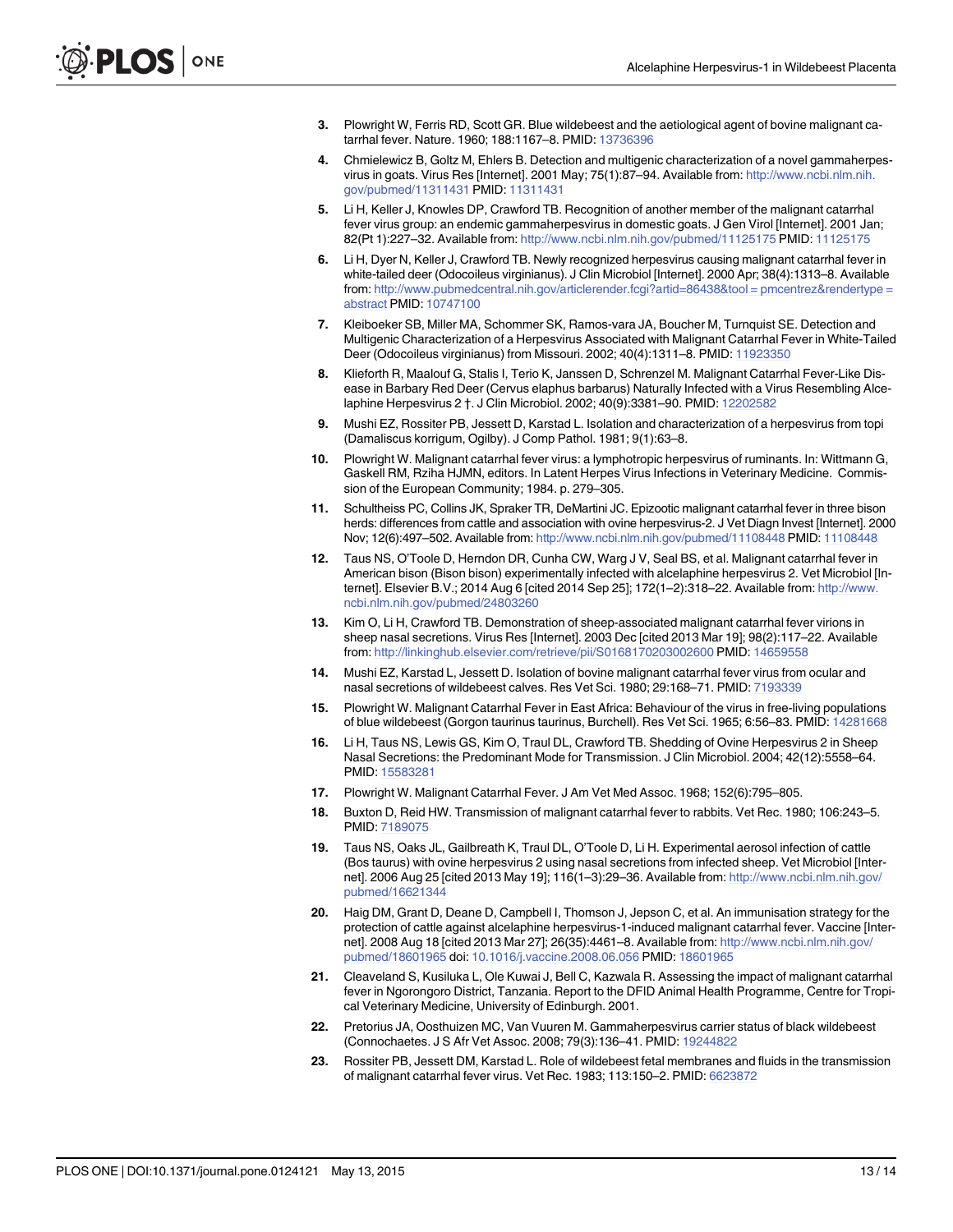- <span id="page-12-0"></span>[3.](#page-1-0) Plowright W, Ferris RD, Scott GR. Blue wildebeest and the aetiological agent of bovine malignant catarrhal fever. Nature. 1960; 188:1167–8. PMID: [13736396](http://www.ncbi.nlm.nih.gov/pubmed/13736396)
- [4.](#page-1-0) Chmielewicz B, Goltz M, Ehlers B. Detection and multigenic characterization of a novel gammaherpesvirus in goats. Virus Res [Internet]. 2001 May; 75(1):87–94. Available from: [http://www.ncbi.nlm.nih.](http://www.ncbi.nlm.nih.gov/pubmed/11311431) [gov/pubmed/11311431](http://www.ncbi.nlm.nih.gov/pubmed/11311431) PMID: [11311431](http://www.ncbi.nlm.nih.gov/pubmed/11311431)
- [5.](#page-1-0) Li H, Keller J, Knowles DP, Crawford TB. Recognition of another member of the malignant catarrhal fever virus group: an endemic gammaherpesvirus in domestic goats. J Gen Virol [Internet]. 2001 Jan; 82(Pt 1):227–32. Available from: <http://www.ncbi.nlm.nih.gov/pubmed/11125175> PMID: [11125175](http://www.ncbi.nlm.nih.gov/pubmed/11125175)
- [6.](#page-1-0) Li H, Dyer N, Keller J, Crawford TB. Newly recognized herpesvirus causing malignant catarrhal fever in white-tailed deer (Odocoileus virginianus). J Clin Microbiol [Internet]. 2000 Apr; 38(4):1313–8. Available from: [http://www.pubmedcentral.nih.gov/articlerender.fcgi?artid=86438&tool = pmcentrez&rendertype =](http://www.pubmedcentral.nih.gov/articlerender.fcgi?artid=86438&tool�=�pmcentrez&rendertype�=�abstract) [abstract](http://www.pubmedcentral.nih.gov/articlerender.fcgi?artid=86438&tool�=�pmcentrez&rendertype�=�abstract) PMID: [10747100](http://www.ncbi.nlm.nih.gov/pubmed/10747100)
- [7.](#page-1-0) Kleiboeker SB, Miller MA, Schommer SK, Ramos-vara JA, Boucher M, Turnquist SE. Detection and Multigenic Characterization of a Herpesvirus Associated with Malignant Catarrhal Fever in White-Tailed Deer (Odocoileus virginianus) from Missouri. 2002; 40(4):1311-8. PMID: [11923350](http://www.ncbi.nlm.nih.gov/pubmed/11923350)
- [8.](#page-1-0) Klieforth R, Maalouf G, Stalis I, Terio K, Janssen D, Schrenzel M. Malignant Catarrhal Fever-Like Disease in Barbary Red Deer (Cervus elaphus barbarus) Naturally Infected with a Virus Resembling Alce-laphine Herpesvirus 2 †. J Clin Microbiol. 2002; 40(9):3381-90. PMID: [12202582](http://www.ncbi.nlm.nih.gov/pubmed/12202582)
- [9.](#page-1-0) Mushi EZ, Rossiter PB, Jessett D, Karstad L. Isolation and characterization of a herpesvirus from topi (Damaliscus korrigum, Ogilby). J Comp Pathol. 1981; 9(1):63–8.
- [10.](#page-1-0) Plowright W. Malignant catarrhal fever virus: a lymphotropic herpesvirus of ruminants. In: Wittmann G, Gaskell RM, Rziha HJMN, editors. In Latent Herpes Virus Infections in Veterinary Medicine. Commission of the European Community; 1984. p. 279–305.
- [11.](#page-1-0) Schultheiss PC, Collins JK, Spraker TR, DeMartini JC. Epizootic malignant catarrhal fever in three bison herds: differences from cattle and association with ovine herpesvirus-2. J Vet Diagn Invest [Internet]. 2000 Nov; 12(6):497–502. Available from: <http://www.ncbi.nlm.nih.gov/pubmed/11108448> PMID: [11108448](http://www.ncbi.nlm.nih.gov/pubmed/11108448)
- [12.](#page-1-0) Taus NS, O'Toole D, Herndon DR, Cunha CW, Warg J V, Seal BS, et al. Malignant catarrhal fever in American bison (Bison bison) experimentally infected with alcelaphine herpesvirus 2. Vet Microbiol [Internet]. Elsevier B.V.; 2014 Aug 6 [cited 2014 Sep 25]; 172(1–2):318–22. Available from: [http://www.](http://www.ncbi.nlm.nih.gov/pubmed/24803260) [ncbi.nlm.nih.gov/pubmed/24803260](http://www.ncbi.nlm.nih.gov/pubmed/24803260)
- [13.](#page-1-0) Kim O, Li H, Crawford TB. Demonstration of sheep-associated malignant catarrhal fever virions in sheep nasal secretions. Virus Res [Internet]. 2003 Dec [cited 2013 Mar 19]; 98(2):117–22. Available from: <http://linkinghub.elsevier.com/retrieve/pii/S0168170203002600> PMID: [14659558](http://www.ncbi.nlm.nih.gov/pubmed/14659558)
- [14.](#page-1-0) Mushi EZ, Karstad L, Jessett D. Isolation of bovine malignant catarrhal fever virus from ocular and nasal secretions of wildebeest calves. Res Vet Sci. 1980; 29:168–71. PMID: [7193339](http://www.ncbi.nlm.nih.gov/pubmed/7193339)
- [15.](#page-1-0) Plowright W. Malignant Catarrhal Fever in East Africa: Behaviour of the virus in free-living populations of blue wildebeest (Gorgon taurinus taurinus, Burchell). Res Vet Sci. 1965; 6:56–83. PMID: [14281668](http://www.ncbi.nlm.nih.gov/pubmed/14281668)
- [16.](#page-1-0) Li H, Taus NS, Lewis GS, Kim O, Traul DL, Crawford TB. Shedding of Ovine Herpesvirus 2 in Sheep Nasal Secretions: the Predominant Mode for Transmission. J Clin Microbiol. 2004; 42(12):5558–64. PMID: [15583281](http://www.ncbi.nlm.nih.gov/pubmed/15583281)
- [17.](#page-1-0) Plowright W. Malignant Catarrhal Fever. J Am Vet Med Assoc. 1968; 152(6):795–805.
- [18.](#page-1-0) Buxton D, Reid HW. Transmission of malignant catarrhal fever to rabbits. Vet Rec. 1980; 106:243–5. PMID: [7189075](http://www.ncbi.nlm.nih.gov/pubmed/7189075)
- [19.](#page-1-0) Taus NS, Oaks JL, Gailbreath K, Traul DL, O'Toole D, Li H. Experimental aerosol infection of cattle (Bos taurus) with ovine herpesvirus 2 using nasal secretions from infected sheep. Vet Microbiol [Internet]. 2006 Aug 25 [cited 2013 May 19]; 116(1–3):29–36. Available from: [http://www.ncbi.nlm.nih.gov/](http://www.ncbi.nlm.nih.gov/pubmed/16621344) [pubmed/16621344](http://www.ncbi.nlm.nih.gov/pubmed/16621344)
- [20.](#page-1-0) Haig DM, Grant D, Deane D, Campbell I, Thomson J, Jepson C, et al. An immunisation strategy for the protection of cattle against alcelaphine herpesvirus-1-induced malignant catarrhal fever. Vaccine [Internet]. 2008 Aug 18 [cited 2013 Mar 27]; 26(35):4461-8. Available from: [http://www.ncbi.nlm.nih.gov/](http://www.ncbi.nlm.nih.gov/pubmed/18601965) [pubmed/18601965](http://www.ncbi.nlm.nih.gov/pubmed/18601965) doi: [10.1016/j.vaccine.2008.06.056](http://dx.doi.org/10.1016/j.vaccine.2008.06.056) PMID: [18601965](http://www.ncbi.nlm.nih.gov/pubmed/18601965)
- [21.](#page-1-0) Cleaveland S, Kusiluka L, Ole Kuwai J, Bell C, Kazwala R. Assessing the impact of malignant catarrhal fever in Ngorongoro District, Tanzania. Report to the DFID Animal Health Programme, Centre for Tropical Veterinary Medicine, University of Edinburgh. 2001.
- [22.](#page-1-0) Pretorius JA, Oosthuizen MC, Van Vuuren M. Gammaherpesvirus carrier status of black wildebeest (Connochaetes. J S Afr Vet Assoc. 2008; 79(3):136–41. PMID: [19244822](http://www.ncbi.nlm.nih.gov/pubmed/19244822)
- [23.](#page-1-0) Rossiter PB, Jessett DM, Karstad L. Role of wildebeest fetal membranes and fluids in the transmission of malignant catarrhal fever virus. Vet Rec. 1983; 113:150–2. PMID: [6623872](http://www.ncbi.nlm.nih.gov/pubmed/6623872)